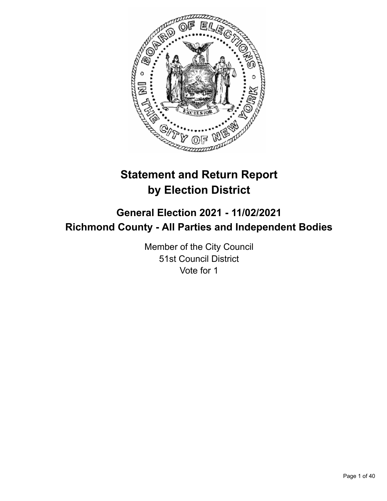

# **Statement and Return Report by Election District**

## **General Election 2021 - 11/02/2021 Richmond County - All Parties and Independent Bodies**

Member of the City Council 51st Council District Vote for 1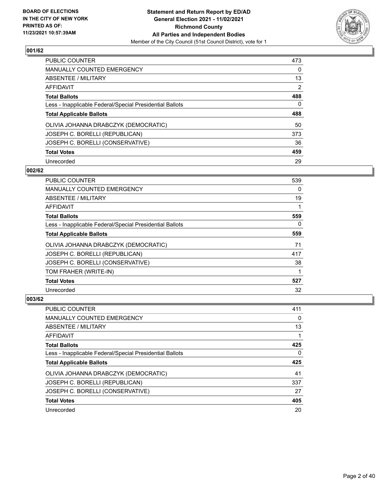

| PUBLIC COUNTER                                           | 473            |
|----------------------------------------------------------|----------------|
| <b>MANUALLY COUNTED EMERGENCY</b>                        | 0              |
| ABSENTEE / MILITARY                                      | 13             |
| AFFIDAVIT                                                | $\overline{2}$ |
| <b>Total Ballots</b>                                     | 488            |
| Less - Inapplicable Federal/Special Presidential Ballots | $\Omega$       |
| <b>Total Applicable Ballots</b>                          | 488            |
| OLIVIA JOHANNA DRABCZYK (DEMOCRATIC)                     | 50             |
| JOSEPH C. BORELLI (REPUBLICAN)                           | 373            |
| JOSEPH C. BORELLI (CONSERVATIVE)                         | 36             |
| <b>Total Votes</b>                                       | 459            |
| Unrecorded                                               | 29             |

## **002/62**

| <b>PUBLIC COUNTER</b>                                    | 539 |
|----------------------------------------------------------|-----|
| <b>MANUALLY COUNTED EMERGENCY</b>                        | 0   |
| ABSENTEE / MILITARY                                      | 19  |
| AFFIDAVIT                                                |     |
| <b>Total Ballots</b>                                     | 559 |
| Less - Inapplicable Federal/Special Presidential Ballots | 0   |
| <b>Total Applicable Ballots</b>                          | 559 |
| OLIVIA JOHANNA DRABCZYK (DEMOCRATIC)                     | 71  |
| JOSEPH C. BORELLI (REPUBLICAN)                           | 417 |
| JOSEPH C. BORELLI (CONSERVATIVE)                         | 38  |
| TOM FRAHER (WRITE-IN)                                    |     |
| <b>Total Votes</b>                                       | 527 |
| Unrecorded                                               | 32  |

| <b>PUBLIC COUNTER</b>                                    | 411 |
|----------------------------------------------------------|-----|
| <b>MANUALLY COUNTED EMERGENCY</b>                        | 0   |
| ABSENTEE / MILITARY                                      | 13  |
| AFFIDAVIT                                                |     |
| <b>Total Ballots</b>                                     | 425 |
| Less - Inapplicable Federal/Special Presidential Ballots | 0   |
| <b>Total Applicable Ballots</b>                          | 425 |
|                                                          |     |
| OLIVIA JOHANNA DRABCZYK (DEMOCRATIC)                     | 41  |
| JOSEPH C. BORELLI (REPUBLICAN)                           | 337 |
| JOSEPH C. BORELLI (CONSERVATIVE)                         | 27  |
| <b>Total Votes</b>                                       | 405 |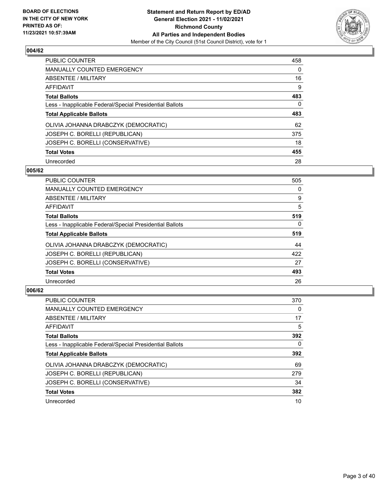

| <b>PUBLIC COUNTER</b>                                    | 458      |
|----------------------------------------------------------|----------|
| MANUALLY COUNTED EMERGENCY                               | 0        |
| ABSENTEE / MILITARY                                      | 16       |
| AFFIDAVIT                                                | 9        |
| <b>Total Ballots</b>                                     | 483      |
| Less - Inapplicable Federal/Special Presidential Ballots | $\Omega$ |
| <b>Total Applicable Ballots</b>                          | 483      |
| OLIVIA JOHANNA DRABCZYK (DEMOCRATIC)                     | 62       |
| JOSEPH C. BORELLI (REPUBLICAN)                           | 375      |
| JOSEPH C. BORELLI (CONSERVATIVE)                         | 18       |
| <b>Total Votes</b>                                       | 455      |
| Unrecorded                                               | 28       |

#### **005/62**

| <b>PUBLIC COUNTER</b>                                    | 505      |
|----------------------------------------------------------|----------|
| <b>MANUALLY COUNTED EMERGENCY</b>                        | 0        |
| ABSENTEE / MILITARY                                      | 9        |
| <b>AFFIDAVIT</b>                                         | 5        |
| <b>Total Ballots</b>                                     | 519      |
| Less - Inapplicable Federal/Special Presidential Ballots | $\Omega$ |
| <b>Total Applicable Ballots</b>                          | 519      |
| OLIVIA JOHANNA DRABCZYK (DEMOCRATIC)                     | 44       |
| JOSEPH C. BORELLI (REPUBLICAN)                           | 422      |
| JOSEPH C. BORELLI (CONSERVATIVE)                         | 27       |
| <b>Total Votes</b>                                       | 493      |
| Unrecorded                                               | 26       |

| PUBLIC COUNTER                                           | 370      |
|----------------------------------------------------------|----------|
| <b>MANUALLY COUNTED EMERGENCY</b>                        | $\Omega$ |
| ABSENTEE / MILITARY                                      | 17       |
| AFFIDAVIT                                                | 5        |
| <b>Total Ballots</b>                                     | 392      |
| Less - Inapplicable Federal/Special Presidential Ballots | 0        |
| <b>Total Applicable Ballots</b>                          | 392      |
| OLIVIA JOHANNA DRABCZYK (DEMOCRATIC)                     | 69       |
| JOSEPH C. BORELLI (REPUBLICAN)                           | 279      |
| JOSEPH C. BORELLI (CONSERVATIVE)                         | 34       |
| <b>Total Votes</b>                                       | 382      |
| Unrecorded                                               | 10       |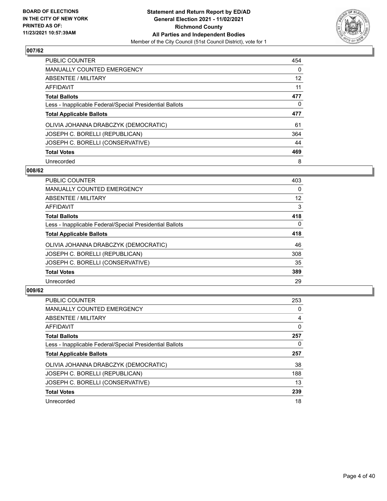

| <b>PUBLIC COUNTER</b>                                    | 454      |
|----------------------------------------------------------|----------|
| <b>MANUALLY COUNTED EMERGENCY</b>                        | $\Omega$ |
| ABSENTEE / MILITARY                                      | 12       |
| AFFIDAVIT                                                | 11       |
| <b>Total Ballots</b>                                     | 477      |
| Less - Inapplicable Federal/Special Presidential Ballots | 0        |
| <b>Total Applicable Ballots</b>                          | 477      |
| OLIVIA JOHANNA DRABCZYK (DEMOCRATIC)                     | 61       |
| JOSEPH C. BORELLI (REPUBLICAN)                           | 364      |
| JOSEPH C. BORELLI (CONSERVATIVE)                         | 44       |
| <b>Total Votes</b>                                       | 469      |
| Unrecorded                                               | 8        |

#### **008/62**

| <b>PUBLIC COUNTER</b>                                    | 403      |
|----------------------------------------------------------|----------|
| <b>MANUALLY COUNTED EMERGENCY</b>                        | 0        |
| ABSENTEE / MILITARY                                      | 12       |
| <b>AFFIDAVIT</b>                                         | 3        |
| <b>Total Ballots</b>                                     | 418      |
| Less - Inapplicable Federal/Special Presidential Ballots | $\Omega$ |
| <b>Total Applicable Ballots</b>                          | 418      |
| OLIVIA JOHANNA DRABCZYK (DEMOCRATIC)                     | 46       |
| JOSEPH C. BORELLI (REPUBLICAN)                           | 308      |
| JOSEPH C. BORELLI (CONSERVATIVE)                         | 35       |
| <b>Total Votes</b>                                       | 389      |
| Unrecorded                                               | 29       |

| <b>PUBLIC COUNTER</b>                                    | 253      |
|----------------------------------------------------------|----------|
| <b>MANUALLY COUNTED EMERGENCY</b>                        | 0        |
| ABSENTEE / MILITARY                                      | 4        |
| AFFIDAVIT                                                | $\Omega$ |
| <b>Total Ballots</b>                                     | 257      |
| Less - Inapplicable Federal/Special Presidential Ballots | 0        |
| <b>Total Applicable Ballots</b>                          | 257      |
| OLIVIA JOHANNA DRABCZYK (DEMOCRATIC)                     | 38       |
| JOSEPH C. BORELLI (REPUBLICAN)                           | 188      |
| JOSEPH C. BORELLI (CONSERVATIVE)                         | 13       |
| <b>Total Votes</b>                                       | 239      |
| Unrecorded                                               | 18       |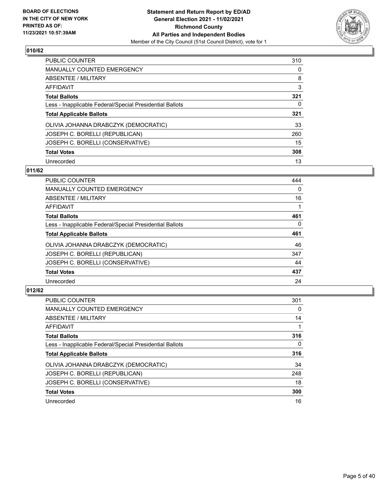

| PUBLIC COUNTER                                           | 310      |
|----------------------------------------------------------|----------|
| <b>MANUALLY COUNTED EMERGENCY</b>                        | $\Omega$ |
| ABSENTEE / MILITARY                                      | 8        |
| AFFIDAVIT                                                | 3        |
| <b>Total Ballots</b>                                     | 321      |
| Less - Inapplicable Federal/Special Presidential Ballots | 0        |
| <b>Total Applicable Ballots</b>                          | 321      |
| OLIVIA JOHANNA DRABCZYK (DEMOCRATIC)                     | 33       |
| JOSEPH C. BORELLI (REPUBLICAN)                           | 260      |
| JOSEPH C. BORELLI (CONSERVATIVE)                         | 15       |
| <b>Total Votes</b>                                       | 308      |
| Unrecorded                                               | 13       |

#### **011/62**

| <b>PUBLIC COUNTER</b>                                    | 444      |
|----------------------------------------------------------|----------|
| <b>MANUALLY COUNTED EMERGENCY</b>                        | 0        |
| ABSENTEE / MILITARY                                      | 16       |
| <b>AFFIDAVIT</b>                                         |          |
| <b>Total Ballots</b>                                     | 461      |
| Less - Inapplicable Federal/Special Presidential Ballots | $\Omega$ |
| <b>Total Applicable Ballots</b>                          | 461      |
| OLIVIA JOHANNA DRABCZYK (DEMOCRATIC)                     | 46       |
| JOSEPH C. BORELLI (REPUBLICAN)                           | 347      |
| JOSEPH C. BORELLI (CONSERVATIVE)                         | 44       |
| <b>Total Votes</b>                                       | 437      |
| Unrecorded                                               | 24       |

| <b>PUBLIC COUNTER</b>                                    | 301      |
|----------------------------------------------------------|----------|
| <b>MANUALLY COUNTED EMERGENCY</b>                        | 0        |
| ABSENTEE / MILITARY                                      | 14       |
| <b>AFFIDAVIT</b>                                         |          |
| <b>Total Ballots</b>                                     | 316      |
| Less - Inapplicable Federal/Special Presidential Ballots | $\Omega$ |
| <b>Total Applicable Ballots</b>                          | 316      |
| OLIVIA JOHANNA DRABCZYK (DEMOCRATIC)                     | 34       |
| JOSEPH C. BORELLI (REPUBLICAN)                           | 248      |
| JOSEPH C. BORELLI (CONSERVATIVE)                         | 18       |
| <b>Total Votes</b>                                       | 300      |
| Unrecorded                                               | 16       |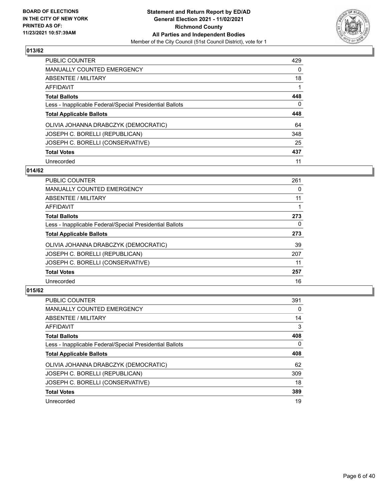

| PUBLIC COUNTER                                           | 429      |
|----------------------------------------------------------|----------|
| <b>MANUALLY COUNTED EMERGENCY</b>                        | $\Omega$ |
| ABSENTEE / MILITARY                                      | 18       |
| AFFIDAVIT                                                |          |
| <b>Total Ballots</b>                                     | 448      |
| Less - Inapplicable Federal/Special Presidential Ballots | $\Omega$ |
| <b>Total Applicable Ballots</b>                          | 448      |
| OLIVIA JOHANNA DRABCZYK (DEMOCRATIC)                     | 64       |
| JOSEPH C. BORELLI (REPUBLICAN)                           | 348      |
| JOSEPH C. BORELLI (CONSERVATIVE)                         | 25       |
| <b>Total Votes</b>                                       | 437      |
| Unrecorded                                               | 11       |

#### **014/62**

| <b>PUBLIC COUNTER</b>                                    | 261      |
|----------------------------------------------------------|----------|
| <b>MANUALLY COUNTED EMERGENCY</b>                        | 0        |
| ABSENTEE / MILITARY                                      | 11       |
| <b>AFFIDAVIT</b>                                         |          |
| <b>Total Ballots</b>                                     | 273      |
| Less - Inapplicable Federal/Special Presidential Ballots | $\Omega$ |
| <b>Total Applicable Ballots</b>                          | 273      |
| OLIVIA JOHANNA DRABCZYK (DEMOCRATIC)                     | 39       |
| JOSEPH C. BORELLI (REPUBLICAN)                           | 207      |
| JOSEPH C. BORELLI (CONSERVATIVE)                         | 11       |
| <b>Total Votes</b>                                       | 257      |
| Unrecorded                                               | 16       |

| <b>PUBLIC COUNTER</b>                                    | 391      |
|----------------------------------------------------------|----------|
| <b>MANUALLY COUNTED EMERGENCY</b>                        | $\Omega$ |
| ABSENTEE / MILITARY                                      | 14       |
| AFFIDAVIT                                                | 3        |
| <b>Total Ballots</b>                                     | 408      |
| Less - Inapplicable Federal/Special Presidential Ballots | 0        |
| <b>Total Applicable Ballots</b>                          | 408      |
| OLIVIA JOHANNA DRABCZYK (DEMOCRATIC)                     | 62       |
| JOSEPH C. BORELLI (REPUBLICAN)                           | 309      |
| JOSEPH C. BORELLI (CONSERVATIVE)                         | 18       |
| <b>Total Votes</b>                                       | 389      |
| Unrecorded                                               | 19       |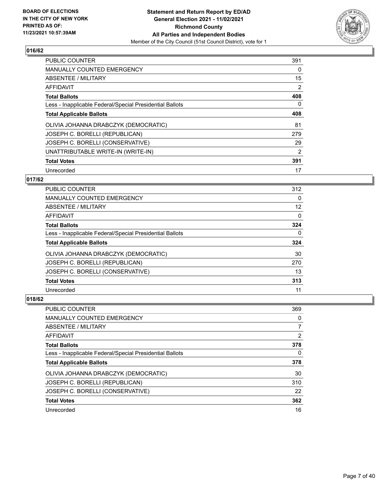

| <b>PUBLIC COUNTER</b>                                    | 391 |
|----------------------------------------------------------|-----|
| <b>MANUALLY COUNTED EMERGENCY</b>                        | 0   |
| ABSENTEE / MILITARY                                      | 15  |
| <b>AFFIDAVIT</b>                                         | 2   |
| <b>Total Ballots</b>                                     | 408 |
| Less - Inapplicable Federal/Special Presidential Ballots | 0   |
| <b>Total Applicable Ballots</b>                          | 408 |
| OLIVIA JOHANNA DRABCZYK (DEMOCRATIC)                     | 81  |
| JOSEPH C. BORELLI (REPUBLICAN)                           | 279 |
| JOSEPH C. BORELLI (CONSERVATIVE)                         | 29  |
| UNATTRIBUTABLE WRITE-IN (WRITE-IN)                       | 2   |
| <b>Total Votes</b>                                       | 391 |
| Unrecorded                                               | 17  |

#### **017/62**

| <b>PUBLIC COUNTER</b>                                    | 312      |
|----------------------------------------------------------|----------|
| <b>MANUALLY COUNTED EMERGENCY</b>                        | 0        |
| ABSENTEE / MILITARY                                      | 12       |
| <b>AFFIDAVIT</b>                                         | $\Omega$ |
| <b>Total Ballots</b>                                     | 324      |
| Less - Inapplicable Federal/Special Presidential Ballots | 0        |
| <b>Total Applicable Ballots</b>                          | 324      |
| OLIVIA JOHANNA DRABCZYK (DEMOCRATIC)                     | 30       |
| JOSEPH C. BORELLI (REPUBLICAN)                           | 270      |
| JOSEPH C. BORELLI (CONSERVATIVE)                         | 13       |
| <b>Total Votes</b>                                       | 313      |
| Unrecorded                                               | 11       |

| PUBLIC COUNTER                                           | 369            |
|----------------------------------------------------------|----------------|
| <b>MANUALLY COUNTED EMERGENCY</b>                        | 0              |
| ABSENTEE / MILITARY                                      |                |
| AFFIDAVIT                                                | $\overline{2}$ |
| <b>Total Ballots</b>                                     | 378            |
| Less - Inapplicable Federal/Special Presidential Ballots | 0              |
| <b>Total Applicable Ballots</b>                          | 378            |
|                                                          |                |
| OLIVIA JOHANNA DRABCZYK (DEMOCRATIC)                     | 30             |
| JOSEPH C. BORELLI (REPUBLICAN)                           | 310            |
| JOSEPH C. BORELLI (CONSERVATIVE)                         | 22             |
| <b>Total Votes</b>                                       | 362            |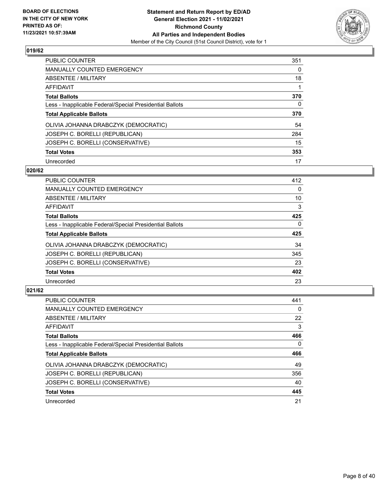

| <b>PUBLIC COUNTER</b>                                    | 351      |
|----------------------------------------------------------|----------|
| <b>MANUALLY COUNTED EMERGENCY</b>                        | $\Omega$ |
| ABSENTEE / MILITARY                                      | 18       |
| AFFIDAVIT                                                |          |
| <b>Total Ballots</b>                                     | 370      |
| Less - Inapplicable Federal/Special Presidential Ballots | 0        |
| <b>Total Applicable Ballots</b>                          | 370      |
| OLIVIA JOHANNA DRABCZYK (DEMOCRATIC)                     | 54       |
| JOSEPH C. BORELLI (REPUBLICAN)                           | 284      |
| JOSEPH C. BORELLI (CONSERVATIVE)                         | 15       |
| <b>Total Votes</b>                                       | 353      |
| Unrecorded                                               | 17       |

#### **020/62**

| <b>PUBLIC COUNTER</b>                                    | 412      |
|----------------------------------------------------------|----------|
| <b>MANUALLY COUNTED EMERGENCY</b>                        | 0        |
| ABSENTEE / MILITARY                                      | 10       |
| <b>AFFIDAVIT</b>                                         | 3        |
| <b>Total Ballots</b>                                     | 425      |
| Less - Inapplicable Federal/Special Presidential Ballots | $\Omega$ |
| <b>Total Applicable Ballots</b>                          | 425      |
| OLIVIA JOHANNA DRABCZYK (DEMOCRATIC)                     | 34       |
| JOSEPH C. BORELLI (REPUBLICAN)                           | 345      |
| JOSEPH C. BORELLI (CONSERVATIVE)                         | 23       |
| <b>Total Votes</b>                                       | 402      |
| Unrecorded                                               | 23       |

| <b>PUBLIC COUNTER</b>                                    | 441      |
|----------------------------------------------------------|----------|
| <b>MANUALLY COUNTED EMERGENCY</b>                        | $\Omega$ |
| ABSENTEE / MILITARY                                      | 22       |
| AFFIDAVIT                                                | 3        |
| <b>Total Ballots</b>                                     | 466      |
| Less - Inapplicable Federal/Special Presidential Ballots | $\Omega$ |
| <b>Total Applicable Ballots</b>                          | 466      |
| OLIVIA JOHANNA DRABCZYK (DEMOCRATIC)                     | 49       |
| JOSEPH C. BORELLI (REPUBLICAN)                           | 356      |
| JOSEPH C. BORELLI (CONSERVATIVE)                         | 40       |
| <b>Total Votes</b>                                       | 445      |
| Unrecorded                                               | 21       |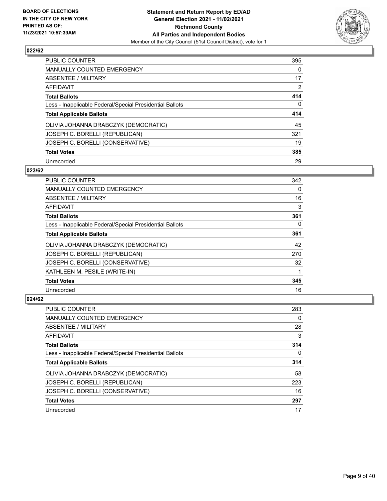

| PUBLIC COUNTER                                           | 395            |
|----------------------------------------------------------|----------------|
| <b>MANUALLY COUNTED EMERGENCY</b>                        | 0              |
| <b>ABSENTEE / MILITARY</b>                               | 17             |
| <b>AFFIDAVIT</b>                                         | $\overline{2}$ |
| <b>Total Ballots</b>                                     | 414            |
| Less - Inapplicable Federal/Special Presidential Ballots | $\mathbf{0}$   |
| <b>Total Applicable Ballots</b>                          | 414            |
| OLIVIA JOHANNA DRABCZYK (DEMOCRATIC)                     | 45             |
| JOSEPH C. BORELLI (REPUBLICAN)                           | 321            |
| JOSEPH C. BORELLI (CONSERVATIVE)                         | 19             |
| <b>Total Votes</b>                                       | 385            |
| Unrecorded                                               | 29             |

#### **023/62**

| <b>PUBLIC COUNTER</b>                                    | 342      |
|----------------------------------------------------------|----------|
| <b>MANUALLY COUNTED EMERGENCY</b>                        | $\Omega$ |
| ABSENTEE / MILITARY                                      | 16       |
| AFFIDAVIT                                                | 3        |
| <b>Total Ballots</b>                                     | 361      |
| Less - Inapplicable Federal/Special Presidential Ballots | 0        |
| <b>Total Applicable Ballots</b>                          | 361      |
| OLIVIA JOHANNA DRABCZYK (DEMOCRATIC)                     | 42       |
| JOSEPH C. BORELLI (REPUBLICAN)                           | 270      |
| JOSEPH C. BORELLI (CONSERVATIVE)                         | 32       |
| KATHLEEN M. PESILE (WRITE-IN)                            |          |
| <b>Total Votes</b>                                       | 345      |
| Unrecorded                                               | 16       |

| PUBLIC COUNTER                                           | 283 |
|----------------------------------------------------------|-----|
| <b>MANUALLY COUNTED EMERGENCY</b>                        | 0   |
| ABSENTEE / MILITARY                                      | 28  |
| AFFIDAVIT                                                | 3   |
| <b>Total Ballots</b>                                     | 314 |
| Less - Inapplicable Federal/Special Presidential Ballots | 0   |
| <b>Total Applicable Ballots</b>                          | 314 |
| OLIVIA JOHANNA DRABCZYK (DEMOCRATIC)                     | 58  |
| JOSEPH C. BORELLI (REPUBLICAN)                           | 223 |
| JOSEPH C. BORELLI (CONSERVATIVE)                         | 16  |
| <b>Total Votes</b>                                       | 297 |
| Unrecorded                                               | 17  |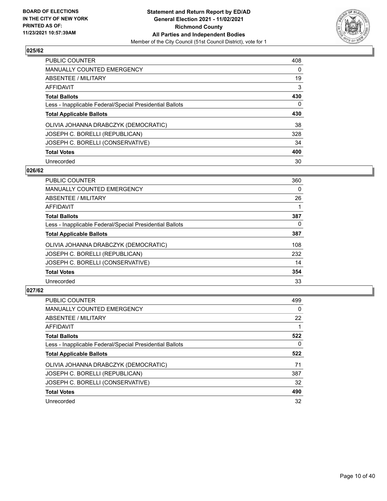

| PUBLIC COUNTER                                           | 408      |
|----------------------------------------------------------|----------|
| <b>MANUALLY COUNTED EMERGENCY</b>                        | $\Omega$ |
| <b>ABSENTEE / MILITARY</b>                               | 19       |
| AFFIDAVIT                                                | 3        |
| <b>Total Ballots</b>                                     | 430      |
| Less - Inapplicable Federal/Special Presidential Ballots | 0        |
| <b>Total Applicable Ballots</b>                          | 430      |
| OLIVIA JOHANNA DRABCZYK (DEMOCRATIC)                     | 38       |
| JOSEPH C. BORELLI (REPUBLICAN)                           | 328      |
| JOSEPH C. BORELLI (CONSERVATIVE)                         | 34       |
| <b>Total Votes</b>                                       | 400      |
| Unrecorded                                               | 30       |

#### **026/62**

| <b>PUBLIC COUNTER</b>                                    | 360      |
|----------------------------------------------------------|----------|
| <b>MANUALLY COUNTED EMERGENCY</b>                        | 0        |
| ABSENTEE / MILITARY                                      | 26       |
| <b>AFFIDAVIT</b>                                         |          |
| <b>Total Ballots</b>                                     | 387      |
| Less - Inapplicable Federal/Special Presidential Ballots | $\Omega$ |
| <b>Total Applicable Ballots</b>                          | 387      |
| OLIVIA JOHANNA DRABCZYK (DEMOCRATIC)                     | 108      |
| JOSEPH C. BORELLI (REPUBLICAN)                           | 232      |
| JOSEPH C. BORELLI (CONSERVATIVE)                         | 14       |
| <b>Total Votes</b>                                       | 354      |
| Unrecorded                                               | 33       |

| <b>PUBLIC COUNTER</b>                                    | 499      |
|----------------------------------------------------------|----------|
| <b>MANUALLY COUNTED EMERGENCY</b>                        | $\Omega$ |
| ABSENTEE / MILITARY                                      | 22       |
| AFFIDAVIT                                                |          |
| <b>Total Ballots</b>                                     | 522      |
| Less - Inapplicable Federal/Special Presidential Ballots | 0        |
| <b>Total Applicable Ballots</b>                          | 522      |
| OLIVIA JOHANNA DRABCZYK (DEMOCRATIC)                     | 71       |
| JOSEPH C. BORELLI (REPUBLICAN)                           | 387      |
| JOSEPH C. BORELLI (CONSERVATIVE)                         | 32       |
| <b>Total Votes</b>                                       | 490      |
| Unrecorded                                               | 32       |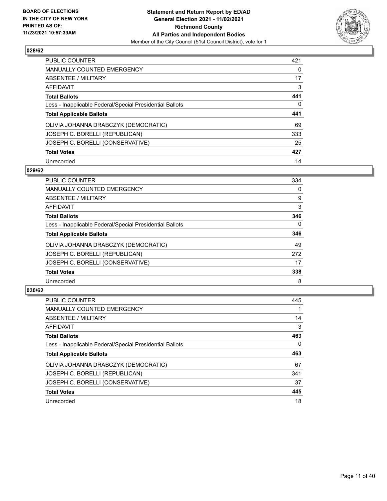

| PUBLIC COUNTER                                           | 421      |
|----------------------------------------------------------|----------|
| <b>MANUALLY COUNTED EMERGENCY</b>                        | $\Omega$ |
| ABSENTEE / MILITARY                                      | 17       |
| AFFIDAVIT                                                | 3        |
| <b>Total Ballots</b>                                     | 441      |
| Less - Inapplicable Federal/Special Presidential Ballots | 0        |
| <b>Total Applicable Ballots</b>                          | 441      |
| OLIVIA JOHANNA DRABCZYK (DEMOCRATIC)                     | 69       |
| JOSEPH C. BORELLI (REPUBLICAN)                           | 333      |
| JOSEPH C. BORELLI (CONSERVATIVE)                         | 25       |
| <b>Total Votes</b>                                       | 427      |
| Unrecorded                                               | 14       |

#### **029/62**

| <b>PUBLIC COUNTER</b>                                    | 334      |
|----------------------------------------------------------|----------|
| <b>MANUALLY COUNTED EMERGENCY</b>                        | 0        |
| ABSENTEE / MILITARY                                      | 9        |
| <b>AFFIDAVIT</b>                                         | 3        |
| <b>Total Ballots</b>                                     | 346      |
| Less - Inapplicable Federal/Special Presidential Ballots | $\Omega$ |
| <b>Total Applicable Ballots</b>                          | 346      |
| OLIVIA JOHANNA DRABCZYK (DEMOCRATIC)                     | 49       |
| JOSEPH C. BORELLI (REPUBLICAN)                           | 272      |
| JOSEPH C. BORELLI (CONSERVATIVE)                         | 17       |
| <b>Total Votes</b>                                       | 338      |
| Unrecorded                                               | 8        |

| <b>PUBLIC COUNTER</b>                                    | 445 |
|----------------------------------------------------------|-----|
| <b>MANUALLY COUNTED EMERGENCY</b>                        |     |
| ABSENTEE / MILITARY                                      | 14  |
| AFFIDAVIT                                                | 3   |
| <b>Total Ballots</b>                                     | 463 |
| Less - Inapplicable Federal/Special Presidential Ballots | 0   |
| <b>Total Applicable Ballots</b>                          | 463 |
| OLIVIA JOHANNA DRABCZYK (DEMOCRATIC)                     | 67  |
| JOSEPH C. BORELLI (REPUBLICAN)                           | 341 |
| JOSEPH C. BORELLI (CONSERVATIVE)                         | 37  |
|                                                          |     |
| <b>Total Votes</b>                                       | 445 |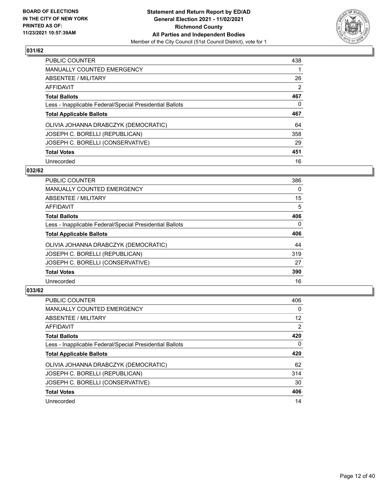

| <b>PUBLIC COUNTER</b>                                    | 438            |
|----------------------------------------------------------|----------------|
| MANUALLY COUNTED EMERGENCY                               |                |
| ABSENTEE / MILITARY                                      | 26             |
| AFFIDAVIT                                                | $\overline{2}$ |
| <b>Total Ballots</b>                                     | 467            |
| Less - Inapplicable Federal/Special Presidential Ballots | $\Omega$       |
| <b>Total Applicable Ballots</b>                          | 467            |
| OLIVIA JOHANNA DRABCZYK (DEMOCRATIC)                     | 64             |
| JOSEPH C. BORELLI (REPUBLICAN)                           | 358            |
| JOSEPH C. BORELLI (CONSERVATIVE)                         | 29             |
| <b>Total Votes</b>                                       | 451            |
| Unrecorded                                               | 16             |

#### **032/62**

| <b>PUBLIC COUNTER</b>                                    | 386      |
|----------------------------------------------------------|----------|
| <b>MANUALLY COUNTED EMERGENCY</b>                        | 0        |
| ABSENTEE / MILITARY                                      | 15       |
| <b>AFFIDAVIT</b>                                         | 5        |
| <b>Total Ballots</b>                                     | 406      |
| Less - Inapplicable Federal/Special Presidential Ballots | $\Omega$ |
| <b>Total Applicable Ballots</b>                          | 406      |
| OLIVIA JOHANNA DRABCZYK (DEMOCRATIC)                     | 44       |
| JOSEPH C. BORELLI (REPUBLICAN)                           | 319      |
| JOSEPH C. BORELLI (CONSERVATIVE)                         | 27       |
| <b>Total Votes</b>                                       | 390      |
| Unrecorded                                               | 16       |

| <b>PUBLIC COUNTER</b>                                    | 406            |
|----------------------------------------------------------|----------------|
| <b>MANUALLY COUNTED EMERGENCY</b>                        | $\Omega$       |
| ABSENTEE / MILITARY                                      | 12             |
| AFFIDAVIT                                                | $\overline{2}$ |
| <b>Total Ballots</b>                                     | 420            |
| Less - Inapplicable Federal/Special Presidential Ballots | 0              |
| <b>Total Applicable Ballots</b>                          | 420            |
| OLIVIA JOHANNA DRABCZYK (DEMOCRATIC)                     | 62             |
| JOSEPH C. BORELLI (REPUBLICAN)                           | 314            |
| JOSEPH C. BORELLI (CONSERVATIVE)                         | 30             |
| <b>Total Votes</b>                                       | 406            |
| Unrecorded                                               | 14             |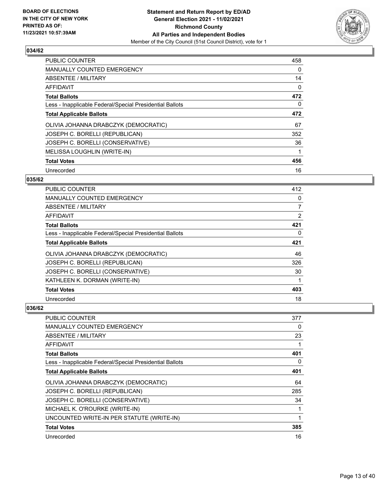

| PUBLIC COUNTER                                           | 458 |
|----------------------------------------------------------|-----|
| <b>MANUALLY COUNTED EMERGENCY</b>                        | 0   |
| ABSENTEE / MILITARY                                      | 14  |
| AFFIDAVIT                                                | 0   |
| <b>Total Ballots</b>                                     | 472 |
| Less - Inapplicable Federal/Special Presidential Ballots | 0   |
| <b>Total Applicable Ballots</b>                          | 472 |
| OLIVIA JOHANNA DRABCZYK (DEMOCRATIC)                     | 67  |
| JOSEPH C. BORELLI (REPUBLICAN)                           | 352 |
| JOSEPH C. BORELLI (CONSERVATIVE)                         | 36  |
| MELISSA LOUGHLIN (WRITE-IN)                              | 1   |
| <b>Total Votes</b>                                       | 456 |
| Unrecorded                                               | 16  |

## **035/62**

| PUBLIC COUNTER                                           | 412 |
|----------------------------------------------------------|-----|
| MANUALLY COUNTED EMERGENCY                               | 0   |
| ABSENTEE / MILITARY                                      | 7   |
| AFFIDAVIT                                                | 2   |
| <b>Total Ballots</b>                                     | 421 |
| Less - Inapplicable Federal/Special Presidential Ballots | 0   |
| <b>Total Applicable Ballots</b>                          | 421 |
| OLIVIA JOHANNA DRABCZYK (DEMOCRATIC)                     | 46  |
| JOSEPH C. BORELLI (REPUBLICAN)                           | 326 |
| JOSEPH C. BORELLI (CONSERVATIVE)                         | 30  |
| KATHLEEN K. DORMAN (WRITE-IN)                            |     |
| <b>Total Votes</b>                                       | 403 |
| Unrecorded                                               | 18  |

| <b>PUBLIC COUNTER</b>                                    | 377 |
|----------------------------------------------------------|-----|
| <b>MANUALLY COUNTED EMERGENCY</b>                        | 0   |
| ABSENTEE / MILITARY                                      | 23  |
| AFFIDAVIT                                                | 1   |
| <b>Total Ballots</b>                                     | 401 |
| Less - Inapplicable Federal/Special Presidential Ballots | 0   |
| <b>Total Applicable Ballots</b>                          | 401 |
| OLIVIA JOHANNA DRABCZYK (DEMOCRATIC)                     | 64  |
| JOSEPH C. BORELLI (REPUBLICAN)                           | 285 |
| JOSEPH C. BORELLI (CONSERVATIVE)                         | 34  |
| MICHAEL K. O'ROURKE (WRITE-IN)                           | 1   |
| UNCOUNTED WRITE-IN PER STATUTE (WRITE-IN)                | 1   |
| <b>Total Votes</b>                                       | 385 |
| Unrecorded                                               | 16  |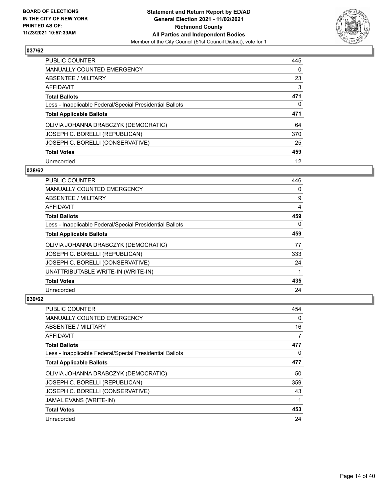

| PUBLIC COUNTER                                           | 445      |
|----------------------------------------------------------|----------|
| <b>MANUALLY COUNTED EMERGENCY</b>                        | $\Omega$ |
| <b>ABSENTEE / MILITARY</b>                               | 23       |
| AFFIDAVIT                                                | 3        |
| <b>Total Ballots</b>                                     | 471      |
| Less - Inapplicable Federal/Special Presidential Ballots | 0        |
| <b>Total Applicable Ballots</b>                          | 471      |
| OLIVIA JOHANNA DRABCZYK (DEMOCRATIC)                     | 64       |
| JOSEPH C. BORELLI (REPUBLICAN)                           | 370      |
| JOSEPH C. BORELLI (CONSERVATIVE)                         | 25       |
|                                                          |          |
| <b>Total Votes</b>                                       | 459      |

#### **038/62**

| <b>PUBLIC COUNTER</b>                                    | 446      |
|----------------------------------------------------------|----------|
| <b>MANUALLY COUNTED EMERGENCY</b>                        | 0        |
| ABSENTEE / MILITARY                                      | 9        |
| AFFIDAVIT                                                | 4        |
| <b>Total Ballots</b>                                     | 459      |
| Less - Inapplicable Federal/Special Presidential Ballots | $\Omega$ |
| <b>Total Applicable Ballots</b>                          | 459      |
| OLIVIA JOHANNA DRABCZYK (DEMOCRATIC)                     | 77       |
| JOSEPH C. BORELLI (REPUBLICAN)                           | 333      |
| JOSEPH C. BORELLI (CONSERVATIVE)                         | 24       |
| UNATTRIBUTABLE WRITE-IN (WRITE-IN)                       |          |
| <b>Total Votes</b>                                       | 435      |
| Unrecorded                                               | 24       |

| <b>PUBLIC COUNTER</b>                                    | 454      |
|----------------------------------------------------------|----------|
| MANUALLY COUNTED EMERGENCY                               | $\Omega$ |
| ABSENTEE / MILITARY                                      | 16       |
| AFFIDAVIT                                                | 7        |
| <b>Total Ballots</b>                                     | 477      |
| Less - Inapplicable Federal/Special Presidential Ballots | $\Omega$ |
| <b>Total Applicable Ballots</b>                          | 477      |
| OLIVIA JOHANNA DRABCZYK (DEMOCRATIC)                     | 50       |
| JOSEPH C. BORELLI (REPUBLICAN)                           | 359      |
| JOSEPH C. BORELLI (CONSERVATIVE)                         | 43       |
| JAMAL EVANS (WRITE-IN)                                   |          |
| <b>Total Votes</b>                                       | 453      |
| Unrecorded                                               | 24       |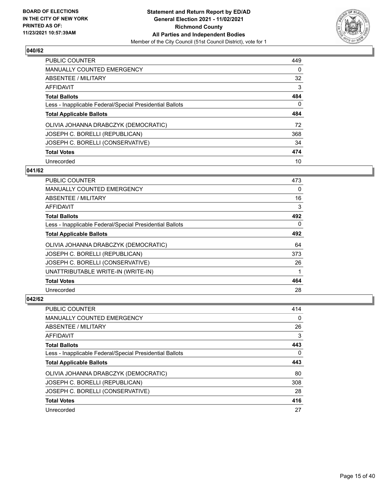

| PUBLIC COUNTER                                           | 449      |
|----------------------------------------------------------|----------|
| <b>MANUALLY COUNTED EMERGENCY</b>                        | 0        |
| ABSENTEE / MILITARY                                      | 32       |
| AFFIDAVIT                                                | 3        |
| <b>Total Ballots</b>                                     | 484      |
| Less - Inapplicable Federal/Special Presidential Ballots | $\Omega$ |
| <b>Total Applicable Ballots</b>                          | 484      |
| OLIVIA JOHANNA DRABCZYK (DEMOCRATIC)                     | 72       |
| JOSEPH C. BORELLI (REPUBLICAN)                           | 368      |
| JOSEPH C. BORELLI (CONSERVATIVE)                         | 34       |
| <b>Total Votes</b>                                       | 474      |
| Unrecorded                                               | 10       |

#### **041/62**

| <b>PUBLIC COUNTER</b>                                    | 473      |
|----------------------------------------------------------|----------|
| <b>MANUALLY COUNTED EMERGENCY</b>                        | $\Omega$ |
| ABSENTEE / MILITARY                                      | 16       |
| AFFIDAVIT                                                | 3        |
| <b>Total Ballots</b>                                     | 492      |
| Less - Inapplicable Federal/Special Presidential Ballots | $\Omega$ |
| <b>Total Applicable Ballots</b>                          | 492      |
| OLIVIA JOHANNA DRABCZYK (DEMOCRATIC)                     | 64       |
| JOSEPH C. BORELLI (REPUBLICAN)                           | 373      |
| JOSEPH C. BORELLI (CONSERVATIVE)                         | 26       |
| UNATTRIBUTABLE WRITE-IN (WRITE-IN)                       |          |
| <b>Total Votes</b>                                       | 464      |
| Unrecorded                                               | 28       |

| PUBLIC COUNTER                                           | 414      |
|----------------------------------------------------------|----------|
| <b>MANUALLY COUNTED EMERGENCY</b>                        | $\Omega$ |
| ABSENTEE / MILITARY                                      | 26       |
| AFFIDAVIT                                                | 3        |
| <b>Total Ballots</b>                                     | 443      |
| Less - Inapplicable Federal/Special Presidential Ballots | 0        |
| <b>Total Applicable Ballots</b>                          | 443      |
| OLIVIA JOHANNA DRABCZYK (DEMOCRATIC)                     | 80       |
| JOSEPH C. BORELLI (REPUBLICAN)                           | 308      |
| JOSEPH C. BORELLI (CONSERVATIVE)                         | 28       |
| <b>Total Votes</b>                                       | 416      |
| Unrecorded                                               | 27       |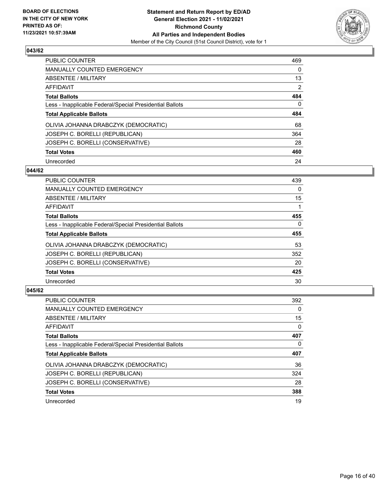

| PUBLIC COUNTER                                           | 469            |
|----------------------------------------------------------|----------------|
| <b>MANUALLY COUNTED EMERGENCY</b>                        | $\Omega$       |
| ABSENTEE / MILITARY                                      | 13             |
| AFFIDAVIT                                                | $\overline{2}$ |
| <b>Total Ballots</b>                                     | 484            |
| Less - Inapplicable Federal/Special Presidential Ballots | $\Omega$       |
| <b>Total Applicable Ballots</b>                          | 484            |
| OLIVIA JOHANNA DRABCZYK (DEMOCRATIC)                     | 68             |
| JOSEPH C. BORELLI (REPUBLICAN)                           | 364            |
| JOSEPH C. BORELLI (CONSERVATIVE)                         | 28             |
| <b>Total Votes</b>                                       | 460            |
| Unrecorded                                               | 24             |

#### **044/62**

| <b>PUBLIC COUNTER</b>                                    | 439      |
|----------------------------------------------------------|----------|
| <b>MANUALLY COUNTED EMERGENCY</b>                        | $\Omega$ |
| ABSENTEE / MILITARY                                      | 15       |
| <b>AFFIDAVIT</b>                                         |          |
| <b>Total Ballots</b>                                     | 455      |
| Less - Inapplicable Federal/Special Presidential Ballots | $\Omega$ |
| <b>Total Applicable Ballots</b>                          | 455      |
| OLIVIA JOHANNA DRABCZYK (DEMOCRATIC)                     | 53       |
| JOSEPH C. BORELLI (REPUBLICAN)                           | 352      |
| JOSEPH C. BORELLI (CONSERVATIVE)                         | 20       |
| <b>Total Votes</b>                                       | 425      |
| Unrecorded                                               | 30       |

| <b>PUBLIC COUNTER</b>                                    | 392      |
|----------------------------------------------------------|----------|
| <b>MANUALLY COUNTED EMERGENCY</b>                        | $\Omega$ |
| ABSENTEE / MILITARY                                      | 15       |
| AFFIDAVIT                                                | $\Omega$ |
| <b>Total Ballots</b>                                     | 407      |
| Less - Inapplicable Federal/Special Presidential Ballots | 0        |
| <b>Total Applicable Ballots</b>                          | 407      |
| OLIVIA JOHANNA DRABCZYK (DEMOCRATIC)                     | 36       |
| JOSEPH C. BORELLI (REPUBLICAN)                           | 324      |
| JOSEPH C. BORELLI (CONSERVATIVE)                         | 28       |
| <b>Total Votes</b>                                       | 388      |
| Unrecorded                                               | 19       |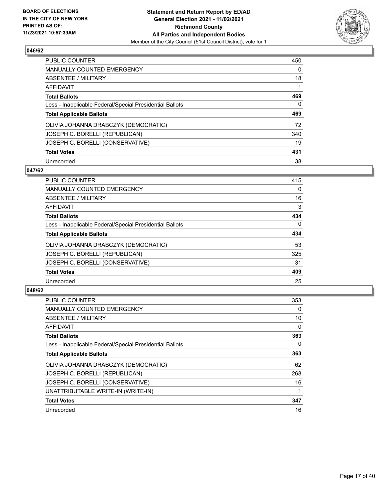

| PUBLIC COUNTER                                           | 450      |
|----------------------------------------------------------|----------|
| <b>MANUALLY COUNTED EMERGENCY</b>                        | $\Omega$ |
| ABSENTEE / MILITARY                                      | 18       |
| AFFIDAVIT                                                |          |
| <b>Total Ballots</b>                                     | 469      |
| Less - Inapplicable Federal/Special Presidential Ballots | 0        |
| <b>Total Applicable Ballots</b>                          | 469      |
| OLIVIA JOHANNA DRABCZYK (DEMOCRATIC)                     | 72       |
| JOSEPH C. BORELLI (REPUBLICAN)                           | 340      |
| JOSEPH C. BORELLI (CONSERVATIVE)                         | 19       |
| <b>Total Votes</b>                                       | 431      |
| Unrecorded                                               | 38       |

#### **047/62**

| <b>PUBLIC COUNTER</b>                                    | 415      |
|----------------------------------------------------------|----------|
| <b>MANUALLY COUNTED EMERGENCY</b>                        | $\Omega$ |
| ABSENTEE / MILITARY                                      | 16       |
| <b>AFFIDAVIT</b>                                         | 3        |
| <b>Total Ballots</b>                                     | 434      |
| Less - Inapplicable Federal/Special Presidential Ballots | $\Omega$ |
| <b>Total Applicable Ballots</b>                          | 434      |
| OLIVIA JOHANNA DRABCZYK (DEMOCRATIC)                     | 53       |
| JOSEPH C. BORELLI (REPUBLICAN)                           | 325      |
| JOSEPH C. BORELLI (CONSERVATIVE)                         | 31       |
| <b>Total Votes</b>                                       | 409      |
| Unrecorded                                               | 25       |

| <b>PUBLIC COUNTER</b>                                    | 353 |
|----------------------------------------------------------|-----|
| <b>MANUALLY COUNTED EMERGENCY</b>                        | 0   |
| ABSENTEE / MILITARY                                      | 10  |
| AFFIDAVIT                                                | 0   |
| <b>Total Ballots</b>                                     | 363 |
| Less - Inapplicable Federal/Special Presidential Ballots | 0   |
| <b>Total Applicable Ballots</b>                          | 363 |
| OLIVIA JOHANNA DRABCZYK (DEMOCRATIC)                     | 62  |
| JOSEPH C. BORELLI (REPUBLICAN)                           | 268 |
| JOSEPH C. BORELLI (CONSERVATIVE)                         | 16  |
| UNATTRIBUTABLE WRITE-IN (WRITE-IN)                       |     |
| <b>Total Votes</b>                                       | 347 |
| Unrecorded                                               | 16  |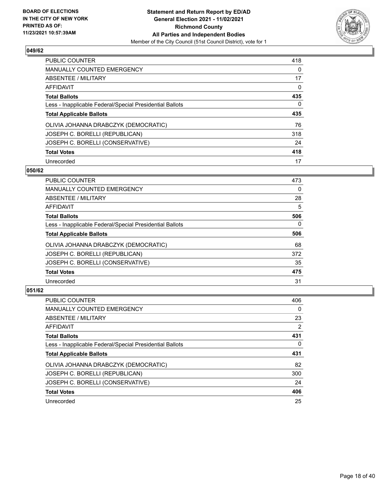

| PUBLIC COUNTER                                           | 418      |
|----------------------------------------------------------|----------|
| <b>MANUALLY COUNTED EMERGENCY</b>                        | $\Omega$ |
| ABSENTEE / MILITARY                                      | 17       |
| AFFIDAVIT                                                | 0        |
| <b>Total Ballots</b>                                     | 435      |
| Less - Inapplicable Federal/Special Presidential Ballots | 0        |
| <b>Total Applicable Ballots</b>                          | 435      |
| OLIVIA JOHANNA DRABCZYK (DEMOCRATIC)                     | 76       |
| JOSEPH C. BORELLI (REPUBLICAN)                           | 318      |
| JOSEPH C. BORELLI (CONSERVATIVE)                         | 24       |
|                                                          |          |
| <b>Total Votes</b>                                       | 418      |

#### **050/62**

| <b>PUBLIC COUNTER</b>                                    | 473      |
|----------------------------------------------------------|----------|
| <b>MANUALLY COUNTED EMERGENCY</b>                        | $\Omega$ |
| ABSENTEE / MILITARY                                      | 28       |
| <b>AFFIDAVIT</b>                                         | 5        |
| <b>Total Ballots</b>                                     | 506      |
| Less - Inapplicable Federal/Special Presidential Ballots | $\Omega$ |
| <b>Total Applicable Ballots</b>                          | 506      |
| OLIVIA JOHANNA DRABCZYK (DEMOCRATIC)                     | 68       |
| JOSEPH C. BORELLI (REPUBLICAN)                           | 372      |
| JOSEPH C. BORELLI (CONSERVATIVE)                         | 35       |
| <b>Total Votes</b>                                       | 475      |
| Unrecorded                                               | 31       |

| <b>PUBLIC COUNTER</b>                                    | 406            |
|----------------------------------------------------------|----------------|
| <b>MANUALLY COUNTED EMERGENCY</b>                        | 0              |
| ABSENTEE / MILITARY                                      | 23             |
| AFFIDAVIT                                                | $\overline{2}$ |
| <b>Total Ballots</b>                                     | 431            |
| Less - Inapplicable Federal/Special Presidential Ballots | 0              |
| <b>Total Applicable Ballots</b>                          | 431            |
| OLIVIA JOHANNA DRABCZYK (DEMOCRATIC)                     | 82             |
| JOSEPH C. BORELLI (REPUBLICAN)                           | 300            |
| JOSEPH C. BORELLI (CONSERVATIVE)                         | 24             |
| <b>Total Votes</b>                                       | 406            |
| Unrecorded                                               | 25             |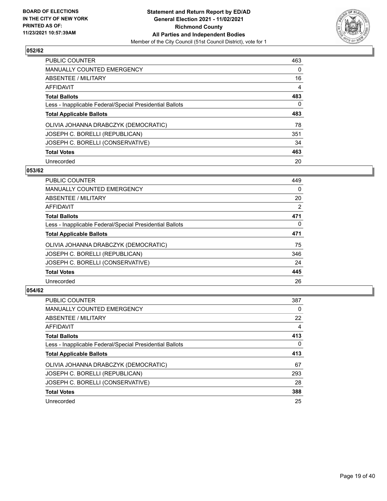

| PUBLIC COUNTER                                           | 463      |
|----------------------------------------------------------|----------|
| <b>MANUALLY COUNTED EMERGENCY</b>                        | $\Omega$ |
| <b>ABSENTEE / MILITARY</b>                               | 16       |
| AFFIDAVIT                                                | 4        |
| <b>Total Ballots</b>                                     | 483      |
| Less - Inapplicable Federal/Special Presidential Ballots | 0        |
| <b>Total Applicable Ballots</b>                          | 483      |
| OLIVIA JOHANNA DRABCZYK (DEMOCRATIC)                     | 78       |
| JOSEPH C. BORELLI (REPUBLICAN)                           | 351      |
| JOSEPH C. BORELLI (CONSERVATIVE)                         | 34       |
| <b>Total Votes</b>                                       | 463      |
| Unrecorded                                               | 20       |

#### **053/62**

| <b>PUBLIC COUNTER</b>                                    | 449      |
|----------------------------------------------------------|----------|
| <b>MANUALLY COUNTED EMERGENCY</b>                        | 0        |
| ABSENTEE / MILITARY                                      | 20       |
| <b>AFFIDAVIT</b>                                         | 2        |
| <b>Total Ballots</b>                                     | 471      |
| Less - Inapplicable Federal/Special Presidential Ballots | $\Omega$ |
| <b>Total Applicable Ballots</b>                          | 471      |
| OLIVIA JOHANNA DRABCZYK (DEMOCRATIC)                     | 75       |
| JOSEPH C. BORELLI (REPUBLICAN)                           | 346      |
| JOSEPH C. BORELLI (CONSERVATIVE)                         | 24       |
| <b>Total Votes</b>                                       | 445      |
| Unrecorded                                               | 26       |

| <b>PUBLIC COUNTER</b>                                    | 387      |
|----------------------------------------------------------|----------|
| <b>MANUALLY COUNTED EMERGENCY</b>                        | 0        |
| ABSENTEE / MILITARY                                      | 22       |
| AFFIDAVIT                                                | 4        |
| <b>Total Ballots</b>                                     | 413      |
| Less - Inapplicable Federal/Special Presidential Ballots | $\Omega$ |
| <b>Total Applicable Ballots</b>                          | 413      |
| OLIVIA JOHANNA DRABCZYK (DEMOCRATIC)                     | 67       |
| JOSEPH C. BORELLI (REPUBLICAN)                           | 293      |
| JOSEPH C. BORELLI (CONSERVATIVE)                         | 28       |
| <b>Total Votes</b>                                       | 388      |
| Unrecorded                                               | 25       |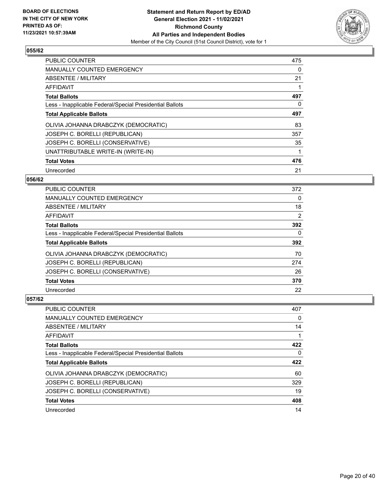

| <b>PUBLIC COUNTER</b>                                    | 475 |
|----------------------------------------------------------|-----|
| <b>MANUALLY COUNTED EMERGENCY</b>                        | 0   |
| ABSENTEE / MILITARY                                      | 21  |
| <b>AFFIDAVIT</b>                                         |     |
| <b>Total Ballots</b>                                     | 497 |
| Less - Inapplicable Federal/Special Presidential Ballots | 0   |
| <b>Total Applicable Ballots</b>                          | 497 |
| OLIVIA JOHANNA DRABCZYK (DEMOCRATIC)                     | 83  |
| JOSEPH C. BORELLI (REPUBLICAN)                           | 357 |
| JOSEPH C. BORELLI (CONSERVATIVE)                         | 35  |
| UNATTRIBUTABLE WRITE-IN (WRITE-IN)                       |     |
| <b>Total Votes</b>                                       | 476 |
| Unrecorded                                               | 21  |

#### **056/62**

| <b>PUBLIC COUNTER</b>                                    | 372 |
|----------------------------------------------------------|-----|
| <b>MANUALLY COUNTED EMERGENCY</b>                        | 0   |
| ABSENTEE / MILITARY                                      | 18  |
| <b>AFFIDAVIT</b>                                         | 2   |
| <b>Total Ballots</b>                                     | 392 |
| Less - Inapplicable Federal/Special Presidential Ballots | 0   |
| <b>Total Applicable Ballots</b>                          | 392 |
| OLIVIA JOHANNA DRABCZYK (DEMOCRATIC)                     | 70  |
| JOSEPH C. BORELLI (REPUBLICAN)                           | 274 |
| JOSEPH C. BORELLI (CONSERVATIVE)                         | 26  |
| <b>Total Votes</b>                                       | 370 |
| Unrecorded                                               | 22  |

| <b>PUBLIC COUNTER</b>                                    | 407 |
|----------------------------------------------------------|-----|
| <b>MANUALLY COUNTED EMERGENCY</b>                        | 0   |
| ABSENTEE / MILITARY                                      | 14  |
| AFFIDAVIT                                                |     |
| <b>Total Ballots</b>                                     | 422 |
| Less - Inapplicable Federal/Special Presidential Ballots | 0   |
| <b>Total Applicable Ballots</b>                          | 422 |
| OLIVIA JOHANNA DRABCZYK (DEMOCRATIC)                     | 60  |
| JOSEPH C. BORELLI (REPUBLICAN)                           | 329 |
| JOSEPH C. BORELLI (CONSERVATIVE)                         | 19  |
| <b>Total Votes</b>                                       | 408 |
| Unrecorded                                               | 14  |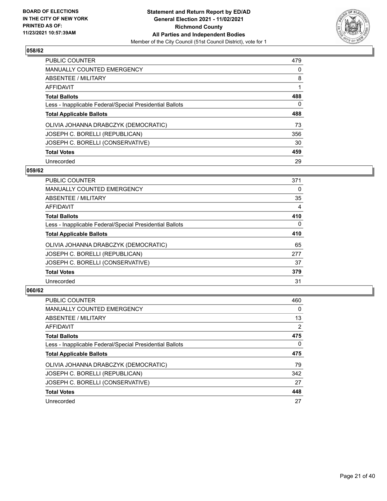

| PUBLIC COUNTER                                           | 479      |
|----------------------------------------------------------|----------|
| <b>MANUALLY COUNTED EMERGENCY</b>                        | 0        |
| ABSENTEE / MILITARY                                      | 8        |
| AFFIDAVIT                                                |          |
| <b>Total Ballots</b>                                     | 488      |
| Less - Inapplicable Federal/Special Presidential Ballots | $\Omega$ |
| <b>Total Applicable Ballots</b>                          | 488      |
| OLIVIA JOHANNA DRABCZYK (DEMOCRATIC)                     | 73       |
| JOSEPH C. BORELLI (REPUBLICAN)                           | 356      |
| JOSEPH C. BORELLI (CONSERVATIVE)                         | 30       |
| <b>Total Votes</b>                                       | 459      |
| Unrecorded                                               | 29       |

#### **059/62**

| <b>PUBLIC COUNTER</b>                                    | 371      |
|----------------------------------------------------------|----------|
| <b>MANUALLY COUNTED EMERGENCY</b>                        | 0        |
| ABSENTEE / MILITARY                                      | 35       |
| <b>AFFIDAVIT</b>                                         | 4        |
| <b>Total Ballots</b>                                     | 410      |
| Less - Inapplicable Federal/Special Presidential Ballots | $\Omega$ |
| <b>Total Applicable Ballots</b>                          | 410      |
| OLIVIA JOHANNA DRABCZYK (DEMOCRATIC)                     | 65       |
| JOSEPH C. BORELLI (REPUBLICAN)                           | 277      |
| JOSEPH C. BORELLI (CONSERVATIVE)                         | 37       |
| <b>Total Votes</b>                                       | 379      |
| Unrecorded                                               | 31       |

| PUBLIC COUNTER                                           | 460      |
|----------------------------------------------------------|----------|
| <b>MANUALLY COUNTED EMERGENCY</b>                        | $\Omega$ |
| ABSENTEE / MILITARY                                      | 13       |
| AFFIDAVIT                                                | 2        |
| <b>Total Ballots</b>                                     | 475      |
| Less - Inapplicable Federal/Special Presidential Ballots | $\Omega$ |
| <b>Total Applicable Ballots</b>                          | 475      |
| OLIVIA JOHANNA DRABCZYK (DEMOCRATIC)                     | 79       |
| JOSEPH C. BORELLI (REPUBLICAN)                           | 342      |
| JOSEPH C. BORELLI (CONSERVATIVE)                         | 27       |
| <b>Total Votes</b>                                       | 448      |
|                                                          |          |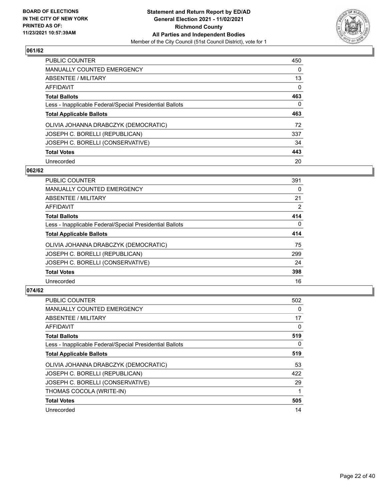

| PUBLIC COUNTER                                           | 450      |
|----------------------------------------------------------|----------|
| <b>MANUALLY COUNTED EMERGENCY</b>                        | $\Omega$ |
| ABSENTEE / MILITARY                                      | 13       |
| AFFIDAVIT                                                | $\Omega$ |
| <b>Total Ballots</b>                                     | 463      |
| Less - Inapplicable Federal/Special Presidential Ballots | 0        |
| <b>Total Applicable Ballots</b>                          | 463      |
| OLIVIA JOHANNA DRABCZYK (DEMOCRATIC)                     | 72       |
| JOSEPH C. BORELLI (REPUBLICAN)                           | 337      |
|                                                          |          |
| JOSEPH C. BORELLI (CONSERVATIVE)                         | 34       |
| <b>Total Votes</b>                                       | 443      |

#### **062/62**

| <b>PUBLIC COUNTER</b>                                    | 391      |
|----------------------------------------------------------|----------|
| <b>MANUALLY COUNTED EMERGENCY</b>                        | 0        |
| ABSENTEE / MILITARY                                      | 21       |
| <b>AFFIDAVIT</b>                                         | 2        |
| <b>Total Ballots</b>                                     | 414      |
| Less - Inapplicable Federal/Special Presidential Ballots | $\Omega$ |
| <b>Total Applicable Ballots</b>                          | 414      |
| OLIVIA JOHANNA DRABCZYK (DEMOCRATIC)                     | 75       |
| JOSEPH C. BORELLI (REPUBLICAN)                           | 299      |
| JOSEPH C. BORELLI (CONSERVATIVE)                         | 24       |
| <b>Total Votes</b>                                       | 398      |
| Unrecorded                                               | 16       |

| PUBLIC COUNTER                                           | 502      |
|----------------------------------------------------------|----------|
| <b>MANUALLY COUNTED EMERGENCY</b>                        | 0        |
| ABSENTEE / MILITARY                                      | 17       |
| AFFIDAVIT                                                | 0        |
| <b>Total Ballots</b>                                     | 519      |
| Less - Inapplicable Federal/Special Presidential Ballots | $\Omega$ |
| <b>Total Applicable Ballots</b>                          | 519      |
| OLIVIA JOHANNA DRABCZYK (DEMOCRATIC)                     | 53       |
| JOSEPH C. BORELLI (REPUBLICAN)                           | 422      |
| JOSEPH C. BORELLI (CONSERVATIVE)                         | 29       |
| THOMAS COCOLA (WRITE-IN)                                 |          |
| <b>Total Votes</b>                                       | 505      |
| Unrecorded                                               | 14       |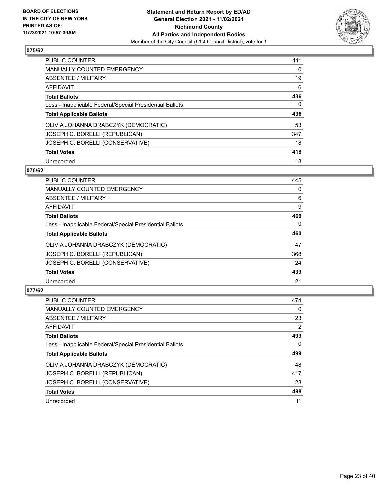

| PUBLIC COUNTER                                           | 411      |
|----------------------------------------------------------|----------|
| <b>MANUALLY COUNTED EMERGENCY</b>                        | $\Omega$ |
| ABSENTEE / MILITARY                                      | 19       |
| AFFIDAVIT                                                | 6        |
| <b>Total Ballots</b>                                     | 436      |
| Less - Inapplicable Federal/Special Presidential Ballots | 0        |
| <b>Total Applicable Ballots</b>                          | 436      |
| OLIVIA JOHANNA DRABCZYK (DEMOCRATIC)                     | 53       |
| JOSEPH C. BORELLI (REPUBLICAN)                           | 347      |
| JOSEPH C. BORELLI (CONSERVATIVE)                         | 18       |
| <b>Total Votes</b>                                       | 418      |
| Unrecorded                                               | 18       |

#### **076/62**

| <b>PUBLIC COUNTER</b>                                    | 445      |
|----------------------------------------------------------|----------|
| <b>MANUALLY COUNTED EMERGENCY</b>                        | 0        |
| ABSENTEE / MILITARY                                      | 6        |
| <b>AFFIDAVIT</b>                                         | 9        |
| <b>Total Ballots</b>                                     | 460      |
| Less - Inapplicable Federal/Special Presidential Ballots | $\Omega$ |
| <b>Total Applicable Ballots</b>                          | 460      |
| OLIVIA JOHANNA DRABCZYK (DEMOCRATIC)                     | 47       |
| JOSEPH C. BORELLI (REPUBLICAN)                           | 368      |
| JOSEPH C. BORELLI (CONSERVATIVE)                         | 24       |
| <b>Total Votes</b>                                       | 439      |
| Unrecorded                                               | 21       |

| <b>PUBLIC COUNTER</b>                                    | 474            |
|----------------------------------------------------------|----------------|
| <b>MANUALLY COUNTED EMERGENCY</b>                        | $\Omega$       |
| ABSENTEE / MILITARY                                      | 23             |
| AFFIDAVIT                                                | $\overline{2}$ |
| <b>Total Ballots</b>                                     | 499            |
| Less - Inapplicable Federal/Special Presidential Ballots | 0              |
| <b>Total Applicable Ballots</b>                          | 499            |
| OLIVIA JOHANNA DRABCZYK (DEMOCRATIC)                     | 48             |
| JOSEPH C. BORELLI (REPUBLICAN)                           | 417            |
| JOSEPH C. BORELLI (CONSERVATIVE)                         | 23             |
| <b>Total Votes</b>                                       | 488            |
| Unrecorded                                               | 11             |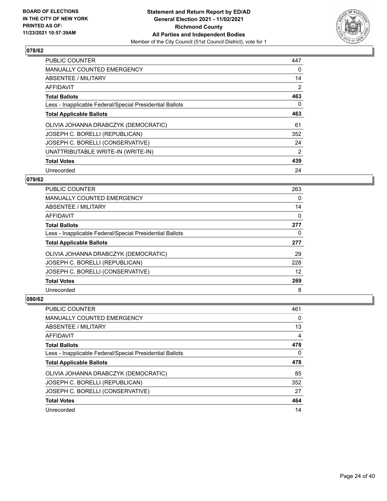

| <b>PUBLIC COUNTER</b>                                    | 447 |
|----------------------------------------------------------|-----|
| MANUALLY COUNTED EMERGENCY                               | 0   |
| ABSENTEE / MILITARY                                      | 14  |
| AFFIDAVIT                                                | 2   |
| <b>Total Ballots</b>                                     | 463 |
| Less - Inapplicable Federal/Special Presidential Ballots | 0   |
| <b>Total Applicable Ballots</b>                          | 463 |
| OLIVIA JOHANNA DRABCZYK (DEMOCRATIC)                     | 61  |
| JOSEPH C. BORELLI (REPUBLICAN)                           | 352 |
| JOSEPH C. BORELLI (CONSERVATIVE)                         | 24  |
| UNATTRIBUTABLE WRITE-IN (WRITE-IN)                       | 2   |
| <b>Total Votes</b>                                       | 439 |
| Unrecorded                                               | 24  |

#### **079/62**

| <b>PUBLIC COUNTER</b>                                    | 263 |
|----------------------------------------------------------|-----|
| <b>MANUALLY COUNTED EMERGENCY</b>                        | 0   |
| ABSENTEE / MILITARY                                      | 14  |
| AFFIDAVIT                                                | 0   |
| <b>Total Ballots</b>                                     | 277 |
| Less - Inapplicable Federal/Special Presidential Ballots | 0   |
| <b>Total Applicable Ballots</b>                          | 277 |
| OLIVIA JOHANNA DRABCZYK (DEMOCRATIC)                     | 29  |
| JOSEPH C. BORELLI (REPUBLICAN)                           | 228 |
| JOSEPH C. BORELLI (CONSERVATIVE)                         | 12  |
| <b>Total Votes</b>                                       | 269 |
| Unrecorded                                               | 8   |

| <b>PUBLIC COUNTER</b>                                    | 461 |
|----------------------------------------------------------|-----|
| <b>MANUALLY COUNTED EMERGENCY</b>                        | 0   |
| ABSENTEE / MILITARY                                      | 13  |
| AFFIDAVIT                                                | 4   |
| <b>Total Ballots</b>                                     | 478 |
| Less - Inapplicable Federal/Special Presidential Ballots | 0   |
| <b>Total Applicable Ballots</b>                          | 478 |
| OLIVIA JOHANNA DRABCZYK (DEMOCRATIC)                     | 85  |
| JOSEPH C. BORELLI (REPUBLICAN)                           | 352 |
| JOSEPH C. BORELLI (CONSERVATIVE)                         | 27  |
|                                                          |     |
| <b>Total Votes</b>                                       | 464 |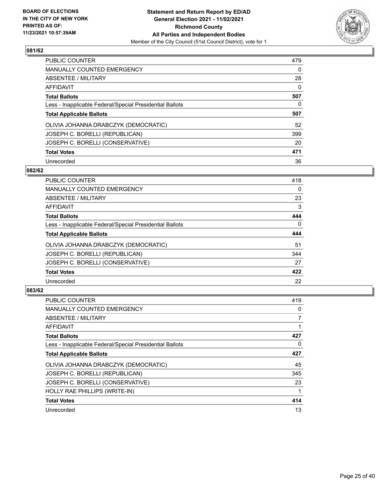

| PUBLIC COUNTER                                           | 479      |
|----------------------------------------------------------|----------|
| <b>MANUALLY COUNTED EMERGENCY</b>                        | $\Omega$ |
| ABSENTEE / MILITARY                                      | 28       |
| AFFIDAVIT                                                | 0        |
| <b>Total Ballots</b>                                     | 507      |
| Less - Inapplicable Federal/Special Presidential Ballots | 0        |
| <b>Total Applicable Ballots</b>                          | 507      |
| OLIVIA JOHANNA DRABCZYK (DEMOCRATIC)                     | 52       |
| JOSEPH C. BORELLI (REPUBLICAN)                           | 399      |
| JOSEPH C. BORELLI (CONSERVATIVE)                         | 20       |
| <b>Total Votes</b>                                       | 471      |
| Unrecorded                                               | 36       |

#### **082/62**

| <b>PUBLIC COUNTER</b>                                    | 418      |
|----------------------------------------------------------|----------|
| MANUALLY COUNTED EMERGENCY                               | 0        |
| ABSENTEE / MILITARY                                      | 23       |
| <b>AFFIDAVIT</b>                                         | 3        |
| <b>Total Ballots</b>                                     | 444      |
| Less - Inapplicable Federal/Special Presidential Ballots | $\Omega$ |
| <b>Total Applicable Ballots</b>                          | 444      |
| OLIVIA JOHANNA DRABCZYK (DEMOCRATIC)                     | 51       |
| JOSEPH C. BORELLI (REPUBLICAN)                           | 344      |
| JOSEPH C. BORELLI (CONSERVATIVE)                         | 27       |
| <b>Total Votes</b>                                       | 422      |
| Unrecorded                                               | 22       |

| <b>PUBLIC COUNTER</b>                                    | 419      |
|----------------------------------------------------------|----------|
| <b>MANUALLY COUNTED EMERGENCY</b>                        | 0        |
| ABSENTEE / MILITARY                                      | 7        |
| AFFIDAVIT                                                |          |
| <b>Total Ballots</b>                                     | 427      |
| Less - Inapplicable Federal/Special Presidential Ballots | $\Omega$ |
| <b>Total Applicable Ballots</b>                          | 427      |
| OLIVIA JOHANNA DRABCZYK (DEMOCRATIC)                     | 45       |
| JOSEPH C. BORELLI (REPUBLICAN)                           | 345      |
| JOSEPH C. BORELLI (CONSERVATIVE)                         | 23       |
| HOLLY RAE PHILLIPS (WRITE-IN)                            |          |
| <b>Total Votes</b>                                       | 414      |
| Unrecorded                                               | 13       |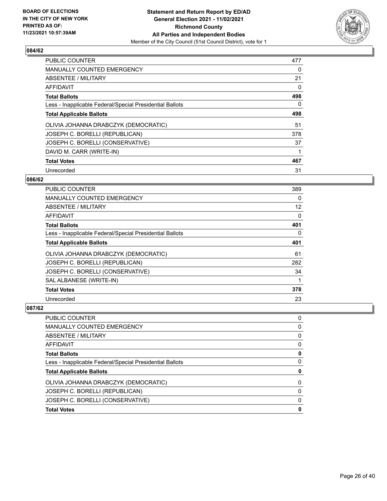

| PUBLIC COUNTER                                           | 477 |
|----------------------------------------------------------|-----|
| <b>MANUALLY COUNTED EMERGENCY</b>                        | 0   |
| ABSENTEE / MILITARY                                      | 21  |
| AFFIDAVIT                                                | 0   |
| <b>Total Ballots</b>                                     | 498 |
| Less - Inapplicable Federal/Special Presidential Ballots | 0   |
| <b>Total Applicable Ballots</b>                          | 498 |
| OLIVIA JOHANNA DRABCZYK (DEMOCRATIC)                     | 51  |
| JOSEPH C. BORELLI (REPUBLICAN)                           | 378 |
| JOSEPH C. BORELLI (CONSERVATIVE)                         | 37  |
| DAVID M. CARR (WRITE-IN)                                 |     |
| <b>Total Votes</b>                                       | 467 |
| Unrecorded                                               | 31  |

#### **086/62**

| <b>PUBLIC COUNTER</b>                                    | 389 |
|----------------------------------------------------------|-----|
| MANUALLY COUNTED EMERGENCY                               | 0   |
| ABSENTEE / MILITARY                                      | 12  |
| AFFIDAVIT                                                | 0   |
| <b>Total Ballots</b>                                     | 401 |
| Less - Inapplicable Federal/Special Presidential Ballots | 0   |
| <b>Total Applicable Ballots</b>                          | 401 |
| OLIVIA JOHANNA DRABCZYK (DEMOCRATIC)                     | 61  |
| JOSEPH C. BORELLI (REPUBLICAN)                           | 282 |
| JOSEPH C. BORELLI (CONSERVATIVE)                         | 34  |
| SAL ALBANESE (WRITE-IN)                                  |     |
| <b>Total Votes</b>                                       | 378 |
| Unrecorded                                               | 23  |

| PUBLIC COUNTER                                           | 0        |
|----------------------------------------------------------|----------|
| MANUALLY COUNTED EMERGENCY                               | 0        |
| ABSENTEE / MILITARY                                      | 0        |
| <b>AFFIDAVIT</b>                                         | 0        |
| <b>Total Ballots</b>                                     | 0        |
| Less - Inapplicable Federal/Special Presidential Ballots | 0        |
| <b>Total Applicable Ballots</b>                          | 0        |
| OLIVIA JOHANNA DRABCZYK (DEMOCRATIC)                     | 0        |
| JOSEPH C. BORELLI (REPUBLICAN)                           | 0        |
| JOSEPH C. BORELLI (CONSERVATIVE)                         | $\Omega$ |
| <b>Total Votes</b>                                       | 0        |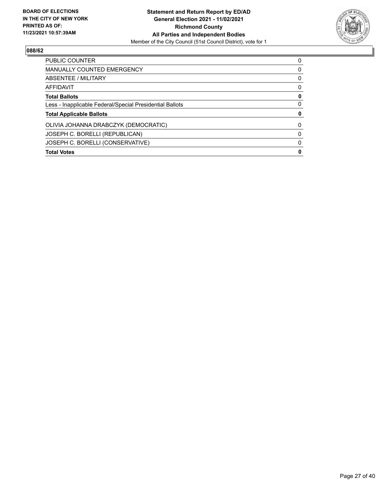

| <b>Total Votes</b>                                       | 0        |
|----------------------------------------------------------|----------|
| JOSEPH C. BORELLI (CONSERVATIVE)                         | 0        |
| JOSEPH C. BORELLI (REPUBLICAN)                           | 0        |
| OLIVIA JOHANNA DRABCZYK (DEMOCRATIC)                     | 0        |
| <b>Total Applicable Ballots</b>                          | 0        |
| Less - Inapplicable Federal/Special Presidential Ballots | 0        |
| <b>Total Ballots</b>                                     | 0        |
| AFFIDAVIT                                                | 0        |
| ABSENTEE / MILITARY                                      | 0        |
| <b>MANUALLY COUNTED EMERGENCY</b>                        | 0        |
| <b>PUBLIC COUNTER</b>                                    | $\Omega$ |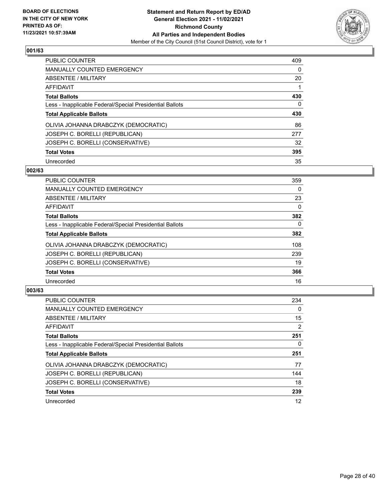

| PUBLIC COUNTER                                           | 409      |
|----------------------------------------------------------|----------|
| <b>MANUALLY COUNTED EMERGENCY</b>                        | 0        |
| ABSENTEE / MILITARY                                      | 20       |
| AFFIDAVIT                                                |          |
| <b>Total Ballots</b>                                     | 430      |
| Less - Inapplicable Federal/Special Presidential Ballots | $\Omega$ |
| <b>Total Applicable Ballots</b>                          | 430      |
| OLIVIA JOHANNA DRABCZYK (DEMOCRATIC)                     | 86       |
| JOSEPH C. BORELLI (REPUBLICAN)                           | 277      |
| JOSEPH C. BORELLI (CONSERVATIVE)                         | 32       |
| <b>Total Votes</b>                                       | 395      |
| Unrecorded                                               | 35       |

#### **002/63**

| <b>PUBLIC COUNTER</b>                                    | 359      |
|----------------------------------------------------------|----------|
| <b>MANUALLY COUNTED EMERGENCY</b>                        | 0        |
| ABSENTEE / MILITARY                                      | 23       |
| <b>AFFIDAVIT</b>                                         | $\Omega$ |
| <b>Total Ballots</b>                                     | 382      |
| Less - Inapplicable Federal/Special Presidential Ballots | $\Omega$ |
| <b>Total Applicable Ballots</b>                          | 382      |
| OLIVIA JOHANNA DRABCZYK (DEMOCRATIC)                     | 108      |
| JOSEPH C. BORELLI (REPUBLICAN)                           | 239      |
| JOSEPH C. BORELLI (CONSERVATIVE)                         | 19       |
| <b>Total Votes</b>                                       | 366      |
| Unrecorded                                               | 16       |

| <b>PUBLIC COUNTER</b>                                    | 234            |
|----------------------------------------------------------|----------------|
| MANUALLY COUNTED EMERGENCY                               | 0              |
| ABSENTEE / MILITARY                                      | 15             |
| AFFIDAVIT                                                | $\overline{2}$ |
| <b>Total Ballots</b>                                     | 251            |
| Less - Inapplicable Federal/Special Presidential Ballots | 0              |
| <b>Total Applicable Ballots</b>                          | 251            |
| OLIVIA JOHANNA DRABCZYK (DEMOCRATIC)                     | 77             |
| JOSEPH C. BORELLI (REPUBLICAN)                           | 144            |
| JOSEPH C. BORELLI (CONSERVATIVE)                         | 18             |
|                                                          |                |
| <b>Total Votes</b>                                       | 239            |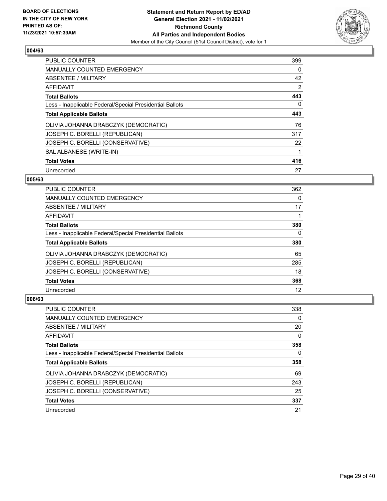

| <b>PUBLIC COUNTER</b>                                    | 399 |
|----------------------------------------------------------|-----|
| <b>MANUALLY COUNTED EMERGENCY</b>                        | 0   |
| ABSENTEE / MILITARY                                      | 42  |
| <b>AFFIDAVIT</b>                                         | 2   |
| <b>Total Ballots</b>                                     | 443 |
| Less - Inapplicable Federal/Special Presidential Ballots | 0   |
| <b>Total Applicable Ballots</b>                          | 443 |
| OLIVIA JOHANNA DRABCZYK (DEMOCRATIC)                     | 76  |
| JOSEPH C. BORELLI (REPUBLICAN)                           | 317 |
| JOSEPH C. BORELLI (CONSERVATIVE)                         | 22  |
| SAL ALBANESE (WRITE-IN)                                  |     |
| <b>Total Votes</b>                                       | 416 |
| Unrecorded                                               | 27  |

#### **005/63**

| <b>PUBLIC COUNTER</b>                                    | 362 |
|----------------------------------------------------------|-----|
| MANUALLY COUNTED EMERGENCY                               | 0   |
| ABSENTEE / MILITARY                                      | 17  |
| <b>AFFIDAVIT</b>                                         |     |
| <b>Total Ballots</b>                                     | 380 |
| Less - Inapplicable Federal/Special Presidential Ballots | 0   |
| <b>Total Applicable Ballots</b>                          | 380 |
| OLIVIA JOHANNA DRABCZYK (DEMOCRATIC)                     | 65  |
| JOSEPH C. BORELLI (REPUBLICAN)                           | 285 |
| JOSEPH C. BORELLI (CONSERVATIVE)                         | 18  |
| <b>Total Votes</b>                                       | 368 |
| Unrecorded                                               | 12  |

| <b>PUBLIC COUNTER</b>                                    | 338 |
|----------------------------------------------------------|-----|
| <b>MANUALLY COUNTED EMERGENCY</b>                        | 0   |
| ABSENTEE / MILITARY                                      | 20  |
| AFFIDAVIT                                                | 0   |
| <b>Total Ballots</b>                                     | 358 |
| Less - Inapplicable Federal/Special Presidential Ballots | 0   |
|                                                          |     |
| <b>Total Applicable Ballots</b>                          | 358 |
| OLIVIA JOHANNA DRABCZYK (DEMOCRATIC)                     | 69  |
| JOSEPH C. BORELLI (REPUBLICAN)                           | 243 |
| JOSEPH C. BORELLI (CONSERVATIVE)                         | 25  |
| <b>Total Votes</b>                                       | 337 |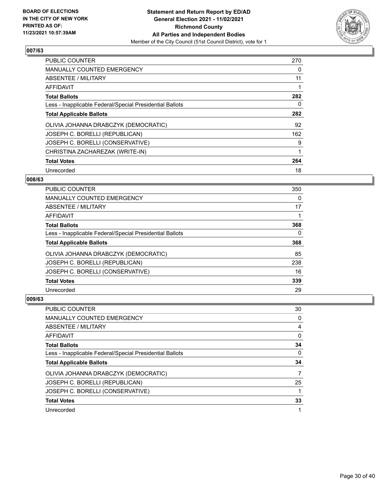

| PUBLIC COUNTER                                           | 270 |
|----------------------------------------------------------|-----|
| <b>MANUALLY COUNTED EMERGENCY</b>                        | 0   |
| ABSENTEE / MILITARY                                      | 11  |
| AFFIDAVIT                                                |     |
| <b>Total Ballots</b>                                     | 282 |
| Less - Inapplicable Federal/Special Presidential Ballots | 0   |
| <b>Total Applicable Ballots</b>                          | 282 |
| OLIVIA JOHANNA DRABCZYK (DEMOCRATIC)                     | 92  |
| JOSEPH C. BORELLI (REPUBLICAN)                           | 162 |
| JOSEPH C. BORELLI (CONSERVATIVE)                         | 9   |
| CHRISTINA ZACHAREZAK (WRITE-IN)                          | 1   |
| <b>Total Votes</b>                                       | 264 |
| Unrecorded                                               | 18  |

#### **008/63**

| <b>PUBLIC COUNTER</b>                                    | 350 |
|----------------------------------------------------------|-----|
| <b>MANUALLY COUNTED EMERGENCY</b>                        | 0   |
| ABSENTEE / MILITARY                                      | 17  |
| AFFIDAVIT                                                |     |
| <b>Total Ballots</b>                                     | 368 |
| Less - Inapplicable Federal/Special Presidential Ballots | 0   |
| <b>Total Applicable Ballots</b>                          | 368 |
| OLIVIA JOHANNA DRABCZYK (DEMOCRATIC)                     | 85  |
| JOSEPH C. BORELLI (REPUBLICAN)                           | 238 |
| JOSEPH C. BORELLI (CONSERVATIVE)                         | 16  |
| <b>Total Votes</b>                                       | 339 |
| Unrecorded                                               | 29  |

| PUBLIC COUNTER                                           | 30 |
|----------------------------------------------------------|----|
| <b>MANUALLY COUNTED EMERGENCY</b>                        | 0  |
| ABSENTEE / MILITARY                                      | 4  |
| AFFIDAVIT                                                | 0  |
| <b>Total Ballots</b>                                     | 34 |
| Less - Inapplicable Federal/Special Presidential Ballots | 0  |
|                                                          |    |
| <b>Total Applicable Ballots</b>                          | 34 |
| OLIVIA JOHANNA DRABCZYK (DEMOCRATIC)                     |    |
| JOSEPH C. BORELLI (REPUBLICAN)                           | 25 |
| JOSEPH C. BORELLI (CONSERVATIVE)                         |    |
| <b>Total Votes</b>                                       | 33 |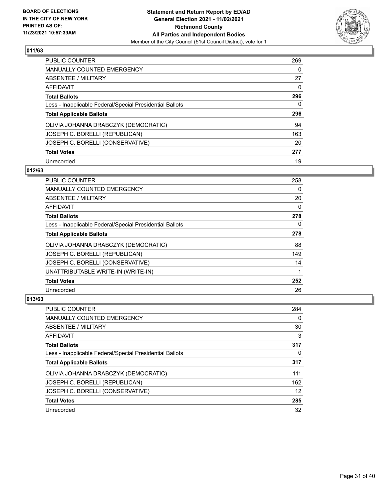

| <b>PUBLIC COUNTER</b>                                    | 269      |
|----------------------------------------------------------|----------|
| <b>MANUALLY COUNTED EMERGENCY</b>                        | $\Omega$ |
| <b>ABSENTEE / MILITARY</b>                               | 27       |
| AFFIDAVIT                                                | $\Omega$ |
| <b>Total Ballots</b>                                     | 296      |
| Less - Inapplicable Federal/Special Presidential Ballots | 0        |
| <b>Total Applicable Ballots</b>                          | 296      |
| OLIVIA JOHANNA DRABCZYK (DEMOCRATIC)                     | 94       |
| JOSEPH C. BORELLI (REPUBLICAN)                           | 163      |
| JOSEPH C. BORELLI (CONSERVATIVE)                         | 20       |
| <b>Total Votes</b>                                       | 277      |
| Unrecorded                                               | 19       |

#### **012/63**

| <b>PUBLIC COUNTER</b>                                    | 258      |
|----------------------------------------------------------|----------|
| <b>MANUALLY COUNTED EMERGENCY</b>                        | 0        |
| ABSENTEE / MILITARY                                      | 20       |
| <b>AFFIDAVIT</b>                                         | 0        |
| <b>Total Ballots</b>                                     | 278      |
| Less - Inapplicable Federal/Special Presidential Ballots | $\Omega$ |
| <b>Total Applicable Ballots</b>                          | 278      |
| OLIVIA JOHANNA DRABCZYK (DEMOCRATIC)                     | 88       |
| JOSEPH C. BORELLI (REPUBLICAN)                           | 149      |
| JOSEPH C. BORELLI (CONSERVATIVE)                         | 14       |
| UNATTRIBUTABLE WRITE-IN (WRITE-IN)                       |          |
| <b>Total Votes</b>                                       | 252      |
| Unrecorded                                               | 26       |

| <b>PUBLIC COUNTER</b>                                    | 284 |
|----------------------------------------------------------|-----|
| <b>MANUALLY COUNTED EMERGENCY</b>                        | 0   |
| ABSENTEE / MILITARY                                      | 30  |
| AFFIDAVIT                                                | 3   |
| <b>Total Ballots</b>                                     | 317 |
| Less - Inapplicable Federal/Special Presidential Ballots | 0   |
| <b>Total Applicable Ballots</b>                          | 317 |
| OLIVIA JOHANNA DRABCZYK (DEMOCRATIC)                     | 111 |
| JOSEPH C. BORELLI (REPUBLICAN)                           | 162 |
| JOSEPH C. BORELLI (CONSERVATIVE)                         | 12  |
| <b>Total Votes</b>                                       | 285 |
| Unrecorded                                               | 32  |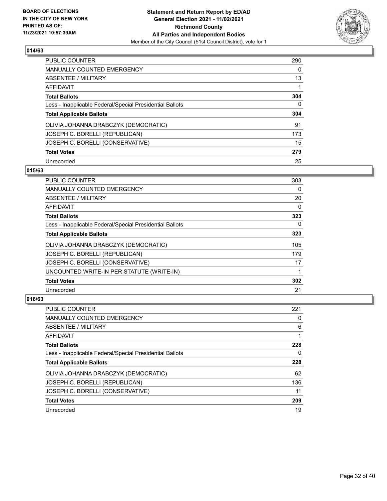

| <b>PUBLIC COUNTER</b>                                    | 290      |
|----------------------------------------------------------|----------|
| <b>MANUALLY COUNTED EMERGENCY</b>                        | $\Omega$ |
| <b>ABSENTEE / MILITARY</b>                               | 13       |
| AFFIDAVIT                                                |          |
| <b>Total Ballots</b>                                     | 304      |
| Less - Inapplicable Federal/Special Presidential Ballots | 0        |
| <b>Total Applicable Ballots</b>                          | 304      |
| OLIVIA JOHANNA DRABCZYK (DEMOCRATIC)                     | 91       |
| JOSEPH C. BORELLI (REPUBLICAN)                           | 173      |
| JOSEPH C. BORELLI (CONSERVATIVE)                         | 15       |
| <b>Total Votes</b>                                       | 279      |
| Unrecorded                                               | 25       |

#### **015/63**

| <b>PUBLIC COUNTER</b>                                    | 303 |
|----------------------------------------------------------|-----|
| <b>MANUALLY COUNTED EMERGENCY</b>                        | 0   |
| ABSENTEE / MILITARY                                      | 20  |
| AFFIDAVIT                                                | 0   |
| <b>Total Ballots</b>                                     | 323 |
| Less - Inapplicable Federal/Special Presidential Ballots | 0   |
| <b>Total Applicable Ballots</b>                          | 323 |
| OLIVIA JOHANNA DRABCZYK (DEMOCRATIC)                     | 105 |
| JOSEPH C. BORELLI (REPUBLICAN)                           | 179 |
| JOSEPH C. BORELLI (CONSERVATIVE)                         | 17  |
| UNCOUNTED WRITE-IN PER STATUTE (WRITE-IN)                |     |
| <b>Total Votes</b>                                       | 302 |
| Unrecorded                                               | 21  |

| <b>PUBLIC COUNTER</b>                                    | 221 |
|----------------------------------------------------------|-----|
| <b>MANUALLY COUNTED EMERGENCY</b>                        | 0   |
| ABSENTEE / MILITARY                                      | 6   |
| AFFIDAVIT                                                |     |
| <b>Total Ballots</b>                                     | 228 |
| Less - Inapplicable Federal/Special Presidential Ballots | 0   |
| <b>Total Applicable Ballots</b>                          | 228 |
|                                                          |     |
| OLIVIA JOHANNA DRABCZYK (DEMOCRATIC)                     | 62  |
| JOSEPH C. BORELLI (REPUBLICAN)                           | 136 |
| JOSEPH C. BORELLI (CONSERVATIVE)                         | 11  |
| <b>Total Votes</b>                                       | 209 |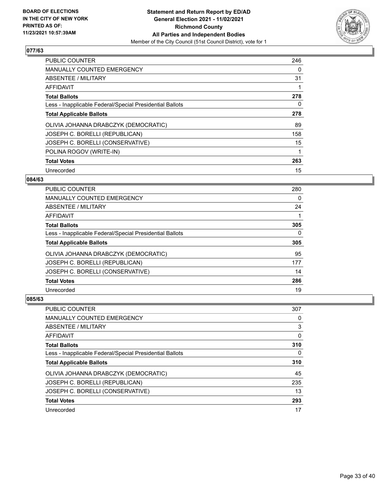

| <b>PUBLIC COUNTER</b>                                    | 246 |
|----------------------------------------------------------|-----|
| <b>MANUALLY COUNTED EMERGENCY</b>                        | 0   |
| ABSENTEE / MILITARY                                      | 31  |
| <b>AFFIDAVIT</b>                                         |     |
| <b>Total Ballots</b>                                     | 278 |
| Less - Inapplicable Federal/Special Presidential Ballots | 0   |
| <b>Total Applicable Ballots</b>                          | 278 |
| OLIVIA JOHANNA DRABCZYK (DEMOCRATIC)                     | 89  |
| JOSEPH C. BORELLI (REPUBLICAN)                           | 158 |
| JOSEPH C. BORELLI (CONSERVATIVE)                         | 15  |
| POLINA ROGOV (WRITE-IN)                                  |     |
| <b>Total Votes</b>                                       | 263 |
| Unrecorded                                               | 15  |

## **084/63**

| <b>PUBLIC COUNTER</b>                                    | 280      |
|----------------------------------------------------------|----------|
| <b>MANUALLY COUNTED EMERGENCY</b>                        | 0        |
| ABSENTEE / MILITARY                                      | 24       |
| <b>AFFIDAVIT</b>                                         |          |
| <b>Total Ballots</b>                                     | 305      |
| Less - Inapplicable Federal/Special Presidential Ballots | $\Omega$ |
| <b>Total Applicable Ballots</b>                          | 305      |
| OLIVIA JOHANNA DRABCZYK (DEMOCRATIC)                     | 95       |
| JOSEPH C. BORELLI (REPUBLICAN)                           | 177      |
| JOSEPH C. BORELLI (CONSERVATIVE)                         | 14       |
| <b>Total Votes</b>                                       | 286      |
| Unrecorded                                               | 19       |

| PUBLIC COUNTER                                           | 307 |
|----------------------------------------------------------|-----|
| <b>MANUALLY COUNTED EMERGENCY</b>                        | 0   |
| ABSENTEE / MILITARY                                      | 3   |
| AFFIDAVIT                                                | 0   |
| <b>Total Ballots</b>                                     | 310 |
| Less - Inapplicable Federal/Special Presidential Ballots | 0   |
| <b>Total Applicable Ballots</b>                          | 310 |
| OLIVIA JOHANNA DRABCZYK (DEMOCRATIC)                     | 45  |
| JOSEPH C. BORELLI (REPUBLICAN)                           | 235 |
| JOSEPH C. BORELLI (CONSERVATIVE)                         | 13  |
|                                                          |     |
| <b>Total Votes</b>                                       | 293 |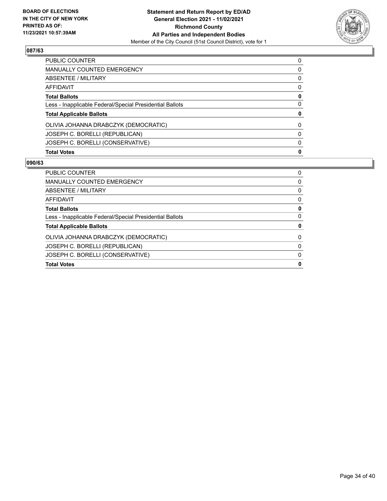

| <b>Total Votes</b>                                       | 0            |
|----------------------------------------------------------|--------------|
| JOSEPH C. BORELLI (CONSERVATIVE)                         | $\mathbf{0}$ |
| JOSEPH C. BORELLI (REPUBLICAN)                           | $\Omega$     |
| OLIVIA JOHANNA DRABCZYK (DEMOCRATIC)                     | 0            |
| <b>Total Applicable Ballots</b>                          | 0            |
| Less - Inapplicable Federal/Special Presidential Ballots | $\Omega$     |
| <b>Total Ballots</b>                                     | 0            |
| <b>AFFIDAVIT</b>                                         | 0            |
| <b>ABSENTEE / MILITARY</b>                               | $\Omega$     |
| <b>MANUALLY COUNTED EMERGENCY</b>                        | $\Omega$     |
| PUBLIC COUNTER                                           | $\Omega$     |

| <b>PUBLIC COUNTER</b>                                    | 0        |
|----------------------------------------------------------|----------|
| MANUALLY COUNTED EMERGENCY                               | $\Omega$ |
| ABSENTEE / MILITARY                                      | 0        |
| AFFIDAVIT                                                | 0        |
| <b>Total Ballots</b>                                     | 0        |
| Less - Inapplicable Federal/Special Presidential Ballots | 0        |
| <b>Total Applicable Ballots</b>                          | 0        |
| OLIVIA JOHANNA DRABCZYK (DEMOCRATIC)                     | $\Omega$ |
| JOSEPH C. BORELLI (REPUBLICAN)                           | 0        |
| JOSEPH C. BORELLI (CONSERVATIVE)                         | $\Omega$ |
| <b>Total Votes</b>                                       | 0        |
|                                                          |          |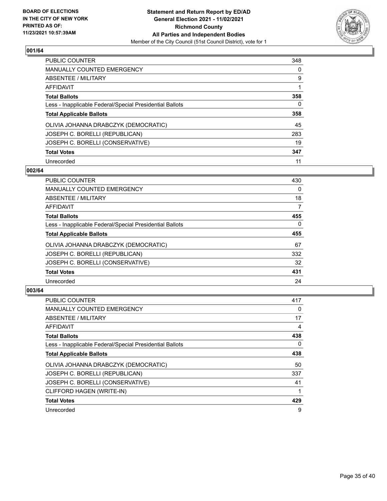

| PUBLIC COUNTER                                           | 348      |
|----------------------------------------------------------|----------|
| <b>MANUALLY COUNTED EMERGENCY</b>                        | 0        |
| ABSENTEE / MILITARY                                      | 9        |
| AFFIDAVIT                                                |          |
| <b>Total Ballots</b>                                     | 358      |
| Less - Inapplicable Federal/Special Presidential Ballots | $\Omega$ |
| <b>Total Applicable Ballots</b>                          | 358      |
| OLIVIA JOHANNA DRABCZYK (DEMOCRATIC)                     | 45       |
| JOSEPH C. BORELLI (REPUBLICAN)                           | 283      |
| JOSEPH C. BORELLI (CONSERVATIVE)                         | 19       |
| <b>Total Votes</b>                                       | 347      |
| Unrecorded                                               | 11       |

#### **002/64**

| <b>PUBLIC COUNTER</b>                                    | 430      |
|----------------------------------------------------------|----------|
| MANUALLY COUNTED EMERGENCY                               | 0        |
| ABSENTEE / MILITARY                                      | 18       |
| <b>AFFIDAVIT</b>                                         | 7        |
| <b>Total Ballots</b>                                     | 455      |
| Less - Inapplicable Federal/Special Presidential Ballots | $\Omega$ |
| <b>Total Applicable Ballots</b>                          | 455      |
| OLIVIA JOHANNA DRABCZYK (DEMOCRATIC)                     | 67       |
| JOSEPH C. BORELLI (REPUBLICAN)                           | 332      |
| JOSEPH C. BORELLI (CONSERVATIVE)                         | 32       |
| <b>Total Votes</b>                                       | 431      |
| Unrecorded                                               | 24       |

| <b>PUBLIC COUNTER</b>                                    | 417 |
|----------------------------------------------------------|-----|
| MANUALLY COUNTED EMERGENCY                               | 0   |
| ABSENTEE / MILITARY                                      | 17  |
| AFFIDAVIT                                                | 4   |
| <b>Total Ballots</b>                                     | 438 |
| Less - Inapplicable Federal/Special Presidential Ballots | 0   |
| <b>Total Applicable Ballots</b>                          | 438 |
| OLIVIA JOHANNA DRABCZYK (DEMOCRATIC)                     | 50  |
| JOSEPH C. BORELLI (REPUBLICAN)                           | 337 |
| JOSEPH C. BORELLI (CONSERVATIVE)                         | 41  |
| CLIFFORD HAGEN (WRITE-IN)                                |     |
| <b>Total Votes</b>                                       | 429 |
| Unrecorded                                               | 9   |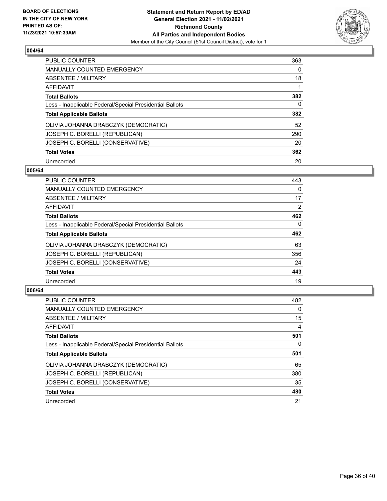

| <b>PUBLIC COUNTER</b>                                    | 363      |
|----------------------------------------------------------|----------|
| <b>MANUALLY COUNTED EMERGENCY</b>                        | $\Omega$ |
| ABSENTEE / MILITARY                                      | 18       |
| AFFIDAVIT                                                |          |
| <b>Total Ballots</b>                                     | 382      |
| Less - Inapplicable Federal/Special Presidential Ballots | 0        |
| <b>Total Applicable Ballots</b>                          | 382      |
| OLIVIA JOHANNA DRABCZYK (DEMOCRATIC)                     | 52       |
| JOSEPH C. BORELLI (REPUBLICAN)                           | 290      |
| JOSEPH C. BORELLI (CONSERVATIVE)                         | 20       |
| <b>Total Votes</b>                                       | 362      |
| Unrecorded                                               | 20       |

#### **005/64**

| <b>PUBLIC COUNTER</b>                                    | 443      |
|----------------------------------------------------------|----------|
| <b>MANUALLY COUNTED EMERGENCY</b>                        | 0        |
| ABSENTEE / MILITARY                                      | 17       |
| <b>AFFIDAVIT</b>                                         | 2        |
| <b>Total Ballots</b>                                     | 462      |
| Less - Inapplicable Federal/Special Presidential Ballots | $\Omega$ |
| <b>Total Applicable Ballots</b>                          | 462      |
| OLIVIA JOHANNA DRABCZYK (DEMOCRATIC)                     | 63       |
| JOSEPH C. BORELLI (REPUBLICAN)                           | 356      |
| JOSEPH C. BORELLI (CONSERVATIVE)                         | 24       |
| <b>Total Votes</b>                                       | 443      |
| Unrecorded                                               | 19       |

| PUBLIC COUNTER                                           | 482      |
|----------------------------------------------------------|----------|
| <b>MANUALLY COUNTED EMERGENCY</b>                        | $\Omega$ |
| ABSENTEE / MILITARY                                      | 15       |
| AFFIDAVIT                                                | 4        |
| <b>Total Ballots</b>                                     | 501      |
| Less - Inapplicable Federal/Special Presidential Ballots | 0        |
| <b>Total Applicable Ballots</b>                          | 501      |
| OLIVIA JOHANNA DRABCZYK (DEMOCRATIC)                     | 65       |
| JOSEPH C. BORELLI (REPUBLICAN)                           | 380      |
| JOSEPH C. BORELLI (CONSERVATIVE)                         | 35       |
| <b>Total Votes</b>                                       | 480      |
| Unrecorded                                               | 21       |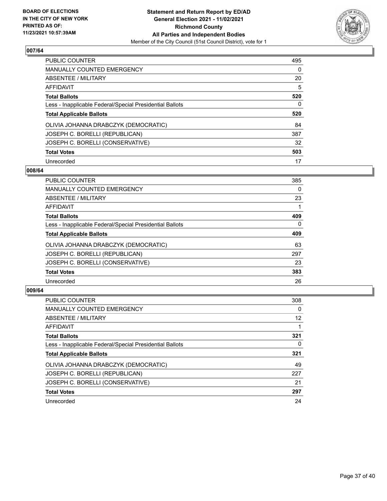

| <b>PUBLIC COUNTER</b>                                    | 495      |
|----------------------------------------------------------|----------|
| <b>MANUALLY COUNTED EMERGENCY</b>                        | 0        |
| ABSENTEE / MILITARY                                      | 20       |
| <b>AFFIDAVIT</b>                                         | 5        |
| <b>Total Ballots</b>                                     | 520      |
| Less - Inapplicable Federal/Special Presidential Ballots | $\Omega$ |
| <b>Total Applicable Ballots</b>                          | 520      |
| OLIVIA JOHANNA DRABCZYK (DEMOCRATIC)                     | 84       |
| JOSEPH C. BORELLI (REPUBLICAN)                           | 387      |
| JOSEPH C. BORELLI (CONSERVATIVE)                         | 32       |
| <b>Total Votes</b>                                       | 503      |
| Unrecorded                                               | 17       |

#### **008/64**

| <b>PUBLIC COUNTER</b>                                    | 385      |
|----------------------------------------------------------|----------|
| <b>MANUALLY COUNTED EMERGENCY</b>                        | 0        |
| ABSENTEE / MILITARY                                      | 23       |
| AFFIDAVIT                                                |          |
| <b>Total Ballots</b>                                     | 409      |
| Less - Inapplicable Federal/Special Presidential Ballots | $\Omega$ |
| <b>Total Applicable Ballots</b>                          | 409      |
| OLIVIA JOHANNA DRABCZYK (DEMOCRATIC)                     | 63       |
| JOSEPH C. BORELLI (REPUBLICAN)                           | 297      |
| JOSEPH C. BORELLI (CONSERVATIVE)                         | 23       |
| <b>Total Votes</b>                                       | 383      |
| Unrecorded                                               | 26       |

| <b>PUBLIC COUNTER</b>                                    | 308 |
|----------------------------------------------------------|-----|
| <b>MANUALLY COUNTED EMERGENCY</b>                        | 0   |
| ABSENTEE / MILITARY                                      | 12  |
| AFFIDAVIT                                                |     |
| <b>Total Ballots</b>                                     | 321 |
| Less - Inapplicable Federal/Special Presidential Ballots | 0   |
| <b>Total Applicable Ballots</b>                          | 321 |
| OLIVIA JOHANNA DRABCZYK (DEMOCRATIC)                     | 49  |
| JOSEPH C. BORELLI (REPUBLICAN)                           | 227 |
| JOSEPH C. BORELLI (CONSERVATIVE)                         | 21  |
| <b>Total Votes</b>                                       | 297 |
| Unrecorded                                               | 24  |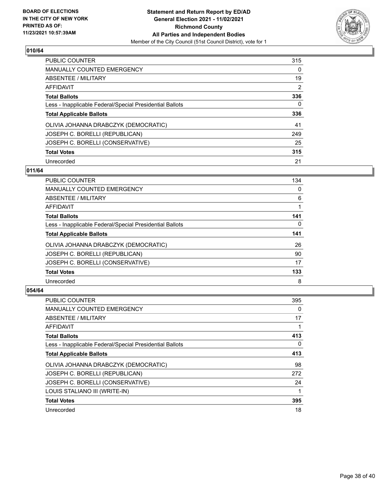

| PUBLIC COUNTER                                           | 315      |
|----------------------------------------------------------|----------|
| <b>MANUALLY COUNTED EMERGENCY</b>                        | $\Omega$ |
| ABSENTEE / MILITARY                                      | 19       |
| AFFIDAVIT                                                | 2        |
| <b>Total Ballots</b>                                     | 336      |
| Less - Inapplicable Federal/Special Presidential Ballots | 0        |
| <b>Total Applicable Ballots</b>                          | 336      |
| OLIVIA JOHANNA DRABCZYK (DEMOCRATIC)                     | 41       |
| JOSEPH C. BORELLI (REPUBLICAN)                           | 249      |
| JOSEPH C. BORELLI (CONSERVATIVE)                         | 25       |
| <b>Total Votes</b>                                       | 315      |
| Unrecorded                                               | 21       |

#### **011/64**

| <b>PUBLIC COUNTER</b>                                    | 134      |
|----------------------------------------------------------|----------|
| MANUALLY COUNTED EMERGENCY                               | 0        |
| ABSENTEE / MILITARY                                      | 6        |
| <b>AFFIDAVIT</b>                                         |          |
| <b>Total Ballots</b>                                     | 141      |
| Less - Inapplicable Federal/Special Presidential Ballots | $\Omega$ |
| <b>Total Applicable Ballots</b>                          | 141      |
| OLIVIA JOHANNA DRABCZYK (DEMOCRATIC)                     | 26       |
| JOSEPH C. BORELLI (REPUBLICAN)                           | 90       |
| JOSEPH C. BORELLI (CONSERVATIVE)                         | 17       |
| <b>Total Votes</b>                                       | 133      |
| Unrecorded                                               | 8        |

| <b>PUBLIC COUNTER</b>                                    | 395 |
|----------------------------------------------------------|-----|
| MANUALLY COUNTED EMERGENCY                               | 0   |
| ABSENTEE / MILITARY                                      | 17  |
| AFFIDAVIT                                                |     |
| <b>Total Ballots</b>                                     | 413 |
| Less - Inapplicable Federal/Special Presidential Ballots | 0   |
| <b>Total Applicable Ballots</b>                          | 413 |
| OLIVIA JOHANNA DRABCZYK (DEMOCRATIC)                     | 98  |
| JOSEPH C. BORELLI (REPUBLICAN)                           | 272 |
| JOSEPH C. BORELLI (CONSERVATIVE)                         | 24  |
| LOUIS STALIANO III (WRITE-IN)                            |     |
| <b>Total Votes</b>                                       | 395 |
| Unrecorded                                               | 18  |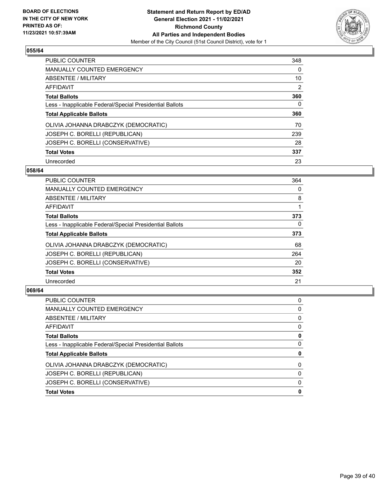

| <b>PUBLIC COUNTER</b>                                    | 348            |
|----------------------------------------------------------|----------------|
| <b>MANUALLY COUNTED EMERGENCY</b>                        | $\Omega$       |
| ABSENTEE / MILITARY                                      | 10             |
| AFFIDAVIT                                                | $\overline{2}$ |
| <b>Total Ballots</b>                                     | 360            |
| Less - Inapplicable Federal/Special Presidential Ballots | 0              |
| <b>Total Applicable Ballots</b>                          | 360            |
| OLIVIA JOHANNA DRABCZYK (DEMOCRATIC)                     | 70             |
| JOSEPH C. BORELLI (REPUBLICAN)                           | 239            |
| JOSEPH C. BORELLI (CONSERVATIVE)                         | 28             |
| <b>Total Votes</b>                                       | 337            |
| Unrecorded                                               | 23             |

#### **058/64**

| <b>PUBLIC COUNTER</b>                                    | 364      |
|----------------------------------------------------------|----------|
| <b>MANUALLY COUNTED EMERGENCY</b>                        | 0        |
| ABSENTEE / MILITARY                                      | 8        |
| <b>AFFIDAVIT</b>                                         |          |
| <b>Total Ballots</b>                                     | 373      |
| Less - Inapplicable Federal/Special Presidential Ballots | $\Omega$ |
| <b>Total Applicable Ballots</b>                          | 373      |
| OLIVIA JOHANNA DRABCZYK (DEMOCRATIC)                     | 68       |
| JOSEPH C. BORELLI (REPUBLICAN)                           | 264      |
| JOSEPH C. BORELLI (CONSERVATIVE)                         | 20       |
| <b>Total Votes</b>                                       | 352      |
| Unrecorded                                               | 21       |

| 0        |
|----------|
| 0        |
| 0        |
| 0        |
| 0        |
| 0        |
| 0        |
| 0        |
| $\Omega$ |
| $\Omega$ |
| 0        |
|          |